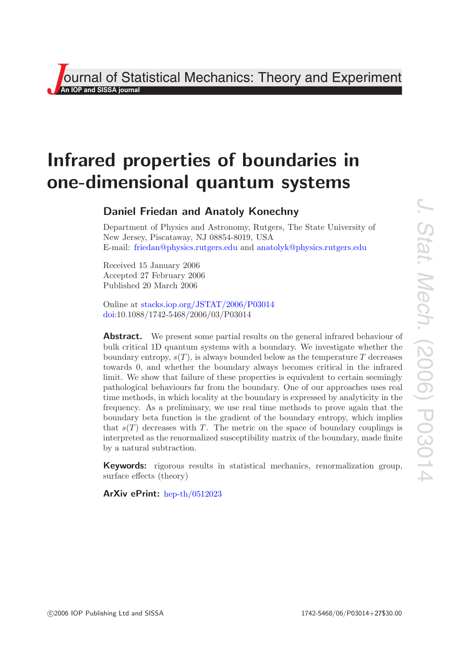# **J**<br>**J**<br>**An IOP and SISSA journal**<br>*An* **IOP and SISSA journal** Theory and Experiment

# **Infrared properties of boundaries in one-dimensional quantum systems**

# **Daniel Friedan and Anatoly Konechny**

Department of Physics and Astronomy, Rutgers, The State University of New Jersey, Piscataway, NJ 08854-8019, USA E-mail: [friedan@physics.rutgers.edu](mailto:friedan@physics.rutgers.edu) and [anatolyk@physics.rutgers.edu](mailto:anatolyk@physics.rutgers.edu)

Received 15 January 2006 Accepted 27 February 2006 Published 20 March 2006

Online at [stacks.iop.org/JSTAT/2006/P03014](http://stacks.iop.org/JSTAT/2006/P03014) [doi:](http://dx.doi.org/10.1088/1742-5468/2006/03/P03014)10.1088/1742-5468/2006/03/P03014

**Abstract.** We present some partial results on the general infrared behaviour of bulk critical 1D quantum systems with a boundary. We investigate whether the boundary entropy,  $s(T)$ , is always bounded below as the temperature T decreases towards 0, and whether the boundary always becomes critical in the infrared limit. We show that failure of these properties is equivalent to certain seemingly pathological behaviours far from the boundary. One of our approaches uses real time methods, in which locality at the boundary is expressed by analyticity in the frequency. As a preliminary, we use real time methods to prove again that the boundary beta function is the gradient of the boundary entropy, which implies that  $s(T)$  decreases with T. The metric on the space of boundary couplings is interpreted as the renormalized susceptibility matrix of the boundary, made finite by a natural subtraction.

**Keywords:** rigorous results in statistical mechanics, renormalization group, surface effects (theory)

**ArXiv ePrint:** [hep-th/0512023](http://arxiv.org/abs/hep-th/0512023)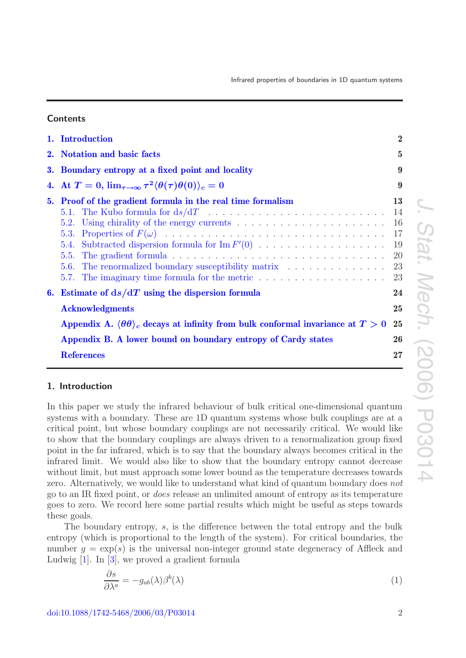#### **Contents**

|    | 1. Introduction                                                                                                                                                                                                                                           | 2                                      |
|----|-----------------------------------------------------------------------------------------------------------------------------------------------------------------------------------------------------------------------------------------------------------|----------------------------------------|
| 2. | <b>Notation and basic facts</b>                                                                                                                                                                                                                           | $\bf{5}$                               |
|    | 3. Boundary entropy at a fixed point and locality                                                                                                                                                                                                         | 9                                      |
|    | 4. At $T=0$ , $\lim_{\tau\to\infty} \tau^2 \langle \theta(\tau) \theta(0) \rangle_c = 0$                                                                                                                                                                  | 9                                      |
| 5. | <b>Proof of the gradient formula in the real time formalism</b><br>5.5.<br>5.6. The renormalized boundary susceptibility matrix                                                                                                                           | 13<br>14<br>16<br>17<br>19<br>20<br>23 |
| 6. | Estimate of $ds/dT$ using the dispersion formula<br><b>Acknowledgments</b><br>Appendix A. $\langle \theta \theta \rangle_c$ decays at infinity from bulk conformal invariance at $T > 0$<br>Appendix B. A lower bound on boundary entropy of Cardy states | 23<br>24<br>25<br>25<br>26             |
|    | <b>References</b>                                                                                                                                                                                                                                         | $\bf{27}$                              |

## <span id="page-1-0"></span>**1. Introduction**

In this paper we study the infrared behaviour of bulk critical one-dimensional quantum systems with a boundary. These are 1D quantum systems whose bulk couplings are at a critical point, but whose boundary couplings are not necessarily critical. We would like to show that the boundary couplings are always driven to a renormalization group fixed point in the far infrared, which is to say that the boundary always becomes critical in the infrared limit. We would also like to show that the boundary entropy cannot decrease without limit, but must approach some lower bound as the temperature decreases towards zero. Alternatively, we would like to understand what kind of quantum boundary does not go to an IR fixed point, or does release an unlimited amount of entropy as its temperature goes to zero. We record here some partial results which might be useful as steps towards these goals.

The boundary entropy, s, is the difference between the total entropy and the bulk entropy (which is proportional to the length of the system). For critical boundaries, the number  $g = \exp(s)$  is the universal non-integer ground state degeneracy of Affleck and Ludwig [\[1\]](#page-26-2). In [\[3\]](#page-26-3), we proved a gradient formula

<span id="page-1-1"></span>
$$
\frac{\partial s}{\partial \lambda^a} = -g_{ab}(\lambda)\beta^b(\lambda) \tag{1}
$$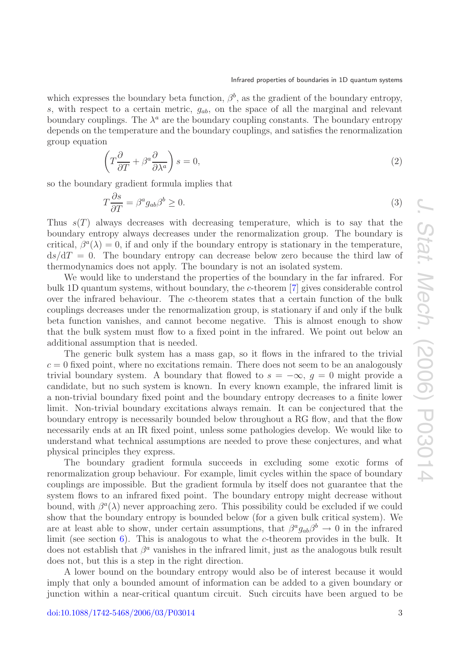which expresses the boundary beta function,  $\beta^b$ , as the gradient of the boundary entropy, s, with respect to a certain metric,  $g_{ab}$ , on the space of all the marginal and relevant boundary couplings. The  $\lambda^a$  are the boundary coupling constants. The boundary entropy depends on the temperature and the boundary couplings, and satisfies the renormalization group equation

$$
\left(T\frac{\partial}{\partial T} + \beta^a \frac{\partial}{\partial \lambda^a}\right)s = 0,\tag{2}
$$

so the boundary gradient formula implies that

$$
T\frac{\partial s}{\partial T} = \beta^a g_{ab}\beta^b \ge 0.
$$
\n(3)

Thus  $s(T)$  always decreases with decreasing temperature, which is to say that the boundary entropy always decreases under the renormalization group. The boundary is critical,  $\beta^{a}(\lambda) = 0$ , if and only if the boundary entropy is stationary in the temperature,  $ds/dT = 0$ . The boundary entropy can decrease below zero because the third law of thermodynamics does not apply. The boundary is not an isolated system.

We would like to understand the properties of the boundary in the far infrared. For bulk 1D quantum systems, without boundary, the c-theorem [\[7\]](#page-26-4) gives considerable control over the infrared behaviour. The c-theorem states that a certain function of the bulk couplings decreases under the renormalization group, is stationary if and only if the bulk beta function vanishes, and cannot become negative. This is almost enough to show that the bulk system must flow to a fixed point in the infrared. We point out below an additional assumption that is needed.

The generic bulk system has a mass gap, so it flows in the infrared to the trivial  $c = 0$  fixed point, where no excitations remain. There does not seem to be an analogously trivial boundary system. A boundary that flowed to  $s = -\infty$ ,  $q = 0$  might provide a candidate, but no such system is known. In every known example, the infrared limit is a non-trivial boundary fixed point and the boundary entropy decreases to a finite lower limit. Non-trivial boundary excitations always remain. It can be conjectured that the boundary entropy is necessarily bounded below throughout a RG flow, and that the flow necessarily ends at an IR fixed point, unless some pathologies develop. We would like to understand what technical assumptions are needed to prove these conjectures, and what physical principles they express.

The boundary gradient formula succeeds in excluding some exotic forms of renormalization group behaviour. For example, limit cycles within the space of boundary couplings are impossible. But the gradient formula by itself does not guarantee that the system flows to an infrared fixed point. The boundary entropy might decrease without bound, with  $\beta^a(\lambda)$  never approaching zero. This possibility could be excluded if we could show that the boundary entropy is bounded below (for a given bulk critical system). We are at least able to show, under certain assumptions, that  $\beta^a g_{ab} \beta^b \to 0$  in the infrared limit (see section [6\)](#page-23-0). This is analogous to what the c-theorem provides in the bulk. It does not establish that  $\beta^a$  vanishes in the infrared limit, just as the analogous bulk result does not, but this is a step in the right direction.

A lower bound on the boundary entropy would also be of interest because it would imply that only a bounded amount of information can be added to a given boundary or junction within a near-critical quantum circuit. Such circuits have been argued to be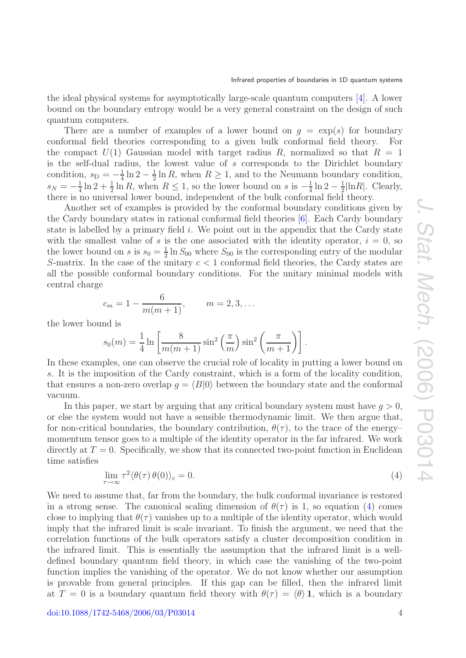the ideal physical systems for asymptotically large-scale quantum computers [\[4\]](#page-26-5). A lower bound on the boundary entropy would be a very general constraint on the design of such quantum computers.

There are a number of examples of a lower bound on  $q = \exp(s)$  for boundary conformal field theories corresponding to a given bulk conformal field theory. For the compact  $U(1)$  Gaussian model with target radius R, normalized so that  $R = 1$ is the self-dual radius, the lowest value of s corresponds to the Dirichlet boundary condition,  $s_D = -\frac{1}{4} \ln 2 - \frac{1}{2} \ln R$ , when  $R \ge 1$ , and to the Neumann boundary condition,  $s_N = -\frac{1}{4} \ln 2 + \frac{1}{2} \ln R$ , when  $R \le 1$ , so the lower bound on s is  $-\frac{1}{4} \ln 2 - \frac{1}{2} |\ln R|$ . Clearly, there is no universal lower bound, independent of the bulk conformal field theory.

Another set of examples is provided by the conformal boundary conditions given by the Cardy boundary states in rational conformal field theories [\[6\]](#page-26-6). Each Cardy boundary state is labelled by a primary field  $i$ . We point out in the appendix that the Cardy state with the smallest value of s is the one associated with the identity operator,  $i = 0$ , so the lower bound on s is  $s_0 = \frac{1}{2} \ln S_{00}$  where  $S_{00}$  is the corresponding entry of the modular S-matrix. In the case of the unitary  $c < 1$  conformal field theories, the Cardy states are all the possible conformal boundary conditions. For the unitary minimal models with central charge

$$
c_m = 1 - \frac{6}{m(m+1)}, \qquad m = 2, 3, \dots
$$

the lower bound is

$$
s_0(m) = \frac{1}{4} \ln \left[ \frac{8}{m(m+1)} \sin^2 \left( \frac{\pi}{m} \right) \sin^2 \left( \frac{\pi}{m+1} \right) \right].
$$

In these examples, one can observe the crucial role of locality in putting a lower bound on s. It is the imposition of the Cardy constraint, which is a form of the locality condition, that ensures a non-zero overlap  $g = \langle B|0 \rangle$  between the boundary state and the conformal vacuum.

In this paper, we start by arguing that any critical boundary system must have  $q > 0$ , or else the system would not have a sensible thermodynamic limit. We then argue that, for non-critical boundaries, the boundary contribution,  $\theta(\tau)$ , to the trace of the energy– momentum tensor goes to a multiple of the identity operator in the far infrared. We work directly at  $T = 0$ . Specifically, we show that its connected two-point function in Euclidean time satisfies

$$
\lim_{\tau \to \infty} \tau^2 \langle \theta(\tau) \theta(0) \rangle_c = 0. \tag{4}
$$

<span id="page-3-0"></span>We need to assume that, far from the boundary, the bulk conformal invariance is restored in a strong sense. The canonical scaling dimension of  $\theta(\tau)$  is 1, so equation [\(4\)](#page-3-0) comes close to implying that  $\theta(\tau)$  vanishes up to a multiple of the identity operator, which would imply that the infrared limit is scale invariant. To finish the argument, we need that the correlation functions of the bulk operators satisfy a cluster decomposition condition in the infrared limit. This is essentially the assumption that the infrared limit is a welldefined boundary quantum field theory, in which case the vanishing of the two-point function implies the vanishing of the operator. We do not know whether our assumption is provable from general principles. If this gap can be filled, then the infrared limit at  $T = 0$  is a boundary quantum field theory with  $\theta(\tau) = \langle \theta \rangle$  1, which is a boundary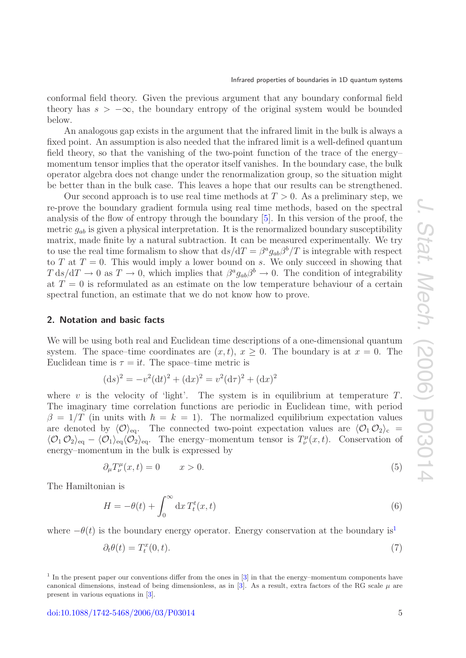conformal field theory. Given the previous argument that any boundary conformal field theory has  $s > -\infty$ , the boundary entropy of the original system would be bounded below.

An analogous gap exists in the argument that the infrared limit in the bulk is always a fixed point. An assumption is also needed that the infrared limit is a well-defined quantum field theory, so that the vanishing of the two-point function of the trace of the energy– momentum tensor implies that the operator itself vanishes. In the boundary case, the bulk operator algebra does not change under the renormalization group, so the situation might be better than in the bulk case. This leaves a hope that our results can be strengthened.

Our second approach is to use real time methods at  $T > 0$ . As a preliminary step, we re-prove the boundary gradient formula using real time methods, based on the spectral analysis of the flow of entropy through the boundary [\[5\]](#page-26-7). In this version of the proof, the metric  $g_{ab}$  is given a physical interpretation. It is the renormalized boundary susceptibility matrix, made finite by a natural subtraction. It can be measured experimentally. We try to use the real time formalism to show that  $ds/dT = \beta^a g_{ab} \beta^b / T$  is integrable with respect to T at  $T = 0$ . This would imply a lower bound on s. We only succeed in showing that  $T ds/dT \to 0$  as  $T \to 0$ , which implies that  $\beta^a g_{ab} \beta^b \to 0$ . The condition of integrability at  $T = 0$  is reformulated as an estimate on the low temperature behaviour of a certain spectral function, an estimate that we do not know how to prove.

#### <span id="page-4-0"></span>**2. Notation and basic facts**

We will be using both real and Euclidean time descriptions of a one-dimensional quantum system. The space–time coordinates are  $(x, t)$ ,  $x \ge 0$ . The boundary is at  $x = 0$ . The Euclidean time is  $\tau = it$ . The space–time metric is

$$
(\mathrm{d}s)^2 = -v^2(\mathrm{d}t)^2 + (\mathrm{d}x)^2 = v^2(\mathrm{d}\tau)^2 + (\mathrm{d}x)^2
$$

where v is the velocity of 'light'. The system is in equilibrium at temperature  $T$ . The imaginary time correlation functions are periodic in Euclidean time, with period  $\beta = 1/T$  (in units with  $\hbar = k = 1$ ). The normalized equilibrium expectation values are denoted by  $\langle \mathcal{O} \rangle_{\text{eq}}$ . The connected two-point expectation values are  $\langle \mathcal{O}_1 \mathcal{O}_2 \rangle_c$  =  $\langle \mathcal{O}_1 \mathcal{O}_2 \rangle_{\text{eq}} - \langle \mathcal{O}_1 \rangle_{\text{eq}} \langle \mathcal{O}_2 \rangle_{\text{eq}}$ . The energy–momentum tensor is  $T^{\mu}_{\nu}(x,t)$ . Conservation of energy–momentum in the bulk is expressed by

$$
\partial_{\mu}T^{\mu}_{\nu}(x,t) = 0 \qquad x > 0. \tag{5}
$$

<span id="page-4-2"></span>The Hamiltonian is

$$
H = -\theta(t) + \int_0^\infty dx \, T_t^t(x, t) \tag{6}
$$

where  $-\theta(t)$  is the boundary energy operator. Energy conservation at the boundary is<sup>[1](#page-4-1)</sup>

<span id="page-4-3"></span>
$$
\partial_t \theta(t) = T_t^x(0, t). \tag{7}
$$

<span id="page-4-1"></span><sup>1</sup> In the present paper our conventions differ from the ones in [\[3\]](#page-26-3) in that the energy–momentum components have canonical dimensions, instead of being dimensionless, as in [\[3\]](#page-26-3). As a result, extra factors of the RG scale  $\mu$  are present in various equations in [\[3\]](#page-26-3).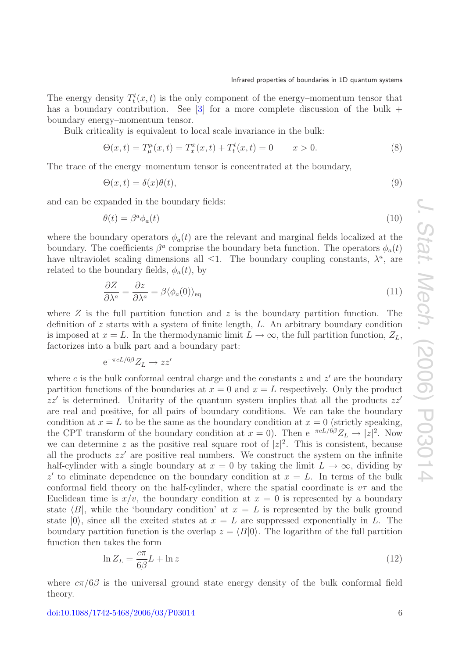The energy density  $T_t^t(x,t)$  is the only component of the energy–momentum tensor that has a boundary contribution. See  $[3]$  for a more complete discussion of the bulk + boundary energy–momentum tensor.

Bulk criticality is equivalent to local scale invariance in the bulk:

$$
\Theta(x,t) = T^{\mu}_{\mu}(x,t) = T^x_x(x,t) + T^t_x(x,t) = 0 \qquad x > 0.
$$
\n(8)

The trace of the energy–momentum tensor is concentrated at the boundary,

$$
\Theta(x,t) = \delta(x)\theta(t),\tag{9}
$$

and can be expanded in the boundary fields:

$$
\theta(t) = \beta^a \phi_a(t) \tag{10}
$$

where the boundary operators  $\phi_a(t)$  are the relevant and marginal fields localized at the boundary. The coefficients  $\beta^a$  comprise the boundary beta function. The operators  $\phi_a(t)$ have ultraviolet scaling dimensions all  $\leq 1$ . The boundary coupling constants,  $\lambda^a$ , are related to the boundary fields,  $\phi_a(t)$ , by

$$
\frac{\partial Z}{\partial \lambda^a} = \frac{\partial z}{\partial \lambda^a} = \beta \langle \phi_a(0) \rangle_{\text{eq}} \tag{11}
$$

where  $Z$  is the full partition function and  $z$  is the boundary partition function. The definition of z starts with a system of finite length, L. An arbitrary boundary condition is imposed at  $x = L$ . In the thermodynamic limit  $L \to \infty$ , the full partition function,  $Z_L$ , factorizes into a bulk part and a boundary part:

$$
e^{-\pi cL/6\beta}Z_L \to zz'
$$

where c is the bulk conformal central charge and the constants  $z$  and  $z'$  are the boundary partition functions of the boundaries at  $x = 0$  and  $x = L$  respectively. Only the product  $zz'$  is determined. Unitarity of the quantum system implies that all the products  $zz'$ are real and positive, for all pairs of boundary conditions. We can take the boundary condition at  $x = L$  to be the same as the boundary condition at  $x = 0$  (strictly speaking, the CPT transform of the boundary condition at  $x = 0$ ). Then  $e^{-\pi cL/6\beta}Z_L \to |z|^2$ . Now we can determine z as the positive real square root of  $|z|^2$ . This is consistent, because all the products  $zz'$  are positive real numbers. We construct the system on the infinite half-cylinder with a single boundary at  $x = 0$  by taking the limit  $L \to \infty$ , dividing by z' to eliminate dependence on the boundary condition at  $x = L$ . In terms of the bulk conformal field theory on the half-cylinder, where the spatial coordinate is  $v\tau$  and the Euclidean time is  $x/v$ , the boundary condition at  $x = 0$  is represented by a boundary state  $\langle B|$ , while the 'boundary condition' at  $x = L$  is represented by the bulk ground state  $|0\rangle$ , since all the excited states at  $x = L$  are suppressed exponentially in L. The boundary partition function is the overlap  $z = \langle B|0\rangle$ . The logarithm of the full partition function then takes the form

$$
\ln Z_L = \frac{c\pi}{6\beta} L + \ln z \tag{12}
$$

where  $c\pi/6\beta$  is the universal ground state energy density of the bulk conformal field theory.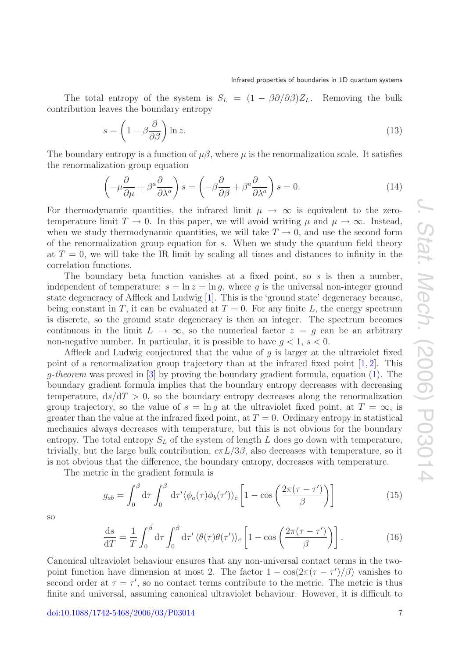The total entropy of the system is  $S_L = (1 - \beta \partial/\partial \beta)Z_L$ . Removing the bulk contribution leaves the boundary entropy

<span id="page-6-0"></span>
$$
s = \left(1 - \beta \frac{\partial}{\partial \beta}\right) \ln z. \tag{13}
$$

The boundary entropy is a function of  $\mu\beta$ , where  $\mu$  is the renormalization scale. It satisfies the renormalization group equation

$$
\left(-\mu \frac{\partial}{\partial \mu} + \beta^a \frac{\partial}{\partial \lambda^a}\right)s = \left(-\beta \frac{\partial}{\partial \beta} + \beta^a \frac{\partial}{\partial \lambda^a}\right)s = 0.
$$
\n(14)

For thermodynamic quantities, the infrared limit  $\mu \to \infty$  is equivalent to the zerotemperature limit  $T \to 0$ . In this paper, we will avoid writing  $\mu$  and  $\mu \to \infty$ . Instead, when we study thermodynamic quantities, we will take  $T \to 0$ , and use the second form of the renormalization group equation for  $s$ . When we study the quantum field theory at  $T = 0$ , we will take the IR limit by scaling all times and distances to infinity in the correlation functions.

The boundary beta function vanishes at a fixed point, so  $s$  is then a number, independent of temperature:  $s = \ln z = \ln q$ , where q is the universal non-integer ground state degeneracy of Affleck and Ludwig [\[1\]](#page-26-2). This is the 'ground state' degeneracy because, being constant in T, it can be evaluated at  $T = 0$ . For any finite L, the energy spectrum is discrete, so the ground state degeneracy is then an integer. The spectrum becomes continuous in the limit  $L \to \infty$ , so the numerical factor  $z = g$  can be an arbitrary non-negative number. In particular, it is possible to have  $q < 1$ ,  $s < 0$ .

Affleck and Ludwig conjectured that the value of g is larger at the ultraviolet fixed point of a renormalization group trajectory than at the infrared fixed point  $[1, 2]$  $[1, 2]$  $[1, 2]$ . This  $q$ -theorem was proved in [\[3\]](#page-26-3) by proving the boundary gradient formula, equation [\(1\)](#page-1-1). The boundary gradient formula implies that the boundary entropy decreases with decreasing temperature,  $ds/dT > 0$ , so the boundary entropy decreases along the renormalization group trajectory, so the value of  $s = \ln q$  at the ultraviolet fixed point, at  $T = \infty$ , is greater than the value at the infrared fixed point, at  $T = 0$ . Ordinary entropy in statistical mechanics always decreases with temperature, but this is not obvious for the boundary entropy. The total entropy  $S_L$  of the system of length L does go down with temperature, trivially, but the large bulk contribution,  $c\pi L/3\beta$ , also decreases with temperature, so it is not obvious that the difference, the boundary entropy, decreases with temperature.

The metric in the gradient formula is

$$
g_{ab} = \int_0^\beta d\tau \int_0^\beta d\tau' \langle \phi_a(\tau) \phi_b(\tau') \rangle_c \left[ 1 - \cos\left( \frac{2\pi(\tau - \tau')}{\beta} \right) \right] \tag{15}
$$

so

$$
\frac{\mathrm{d}s}{\mathrm{d}T} = \frac{1}{T} \int_0^\beta \mathrm{d}\tau \int_0^\beta \mathrm{d}\tau' \langle \theta(\tau)\theta(\tau') \rangle_c \left[ 1 - \cos\left(\frac{2\pi(\tau - \tau')}{\beta}\right) \right]. \tag{16}
$$

Canonical ultraviolet behaviour ensures that any non-universal contact terms in the twopoint function have dimension at most 2. The factor  $1 - \cos(2\pi(\tau - \tau')/\beta)$  vanishes to second order at  $\tau = \tau'$ , so no contact terms contribute to the metric. The metric is thus finite and universal, assuming canonical ultraviolet behaviour. However, it is difficult to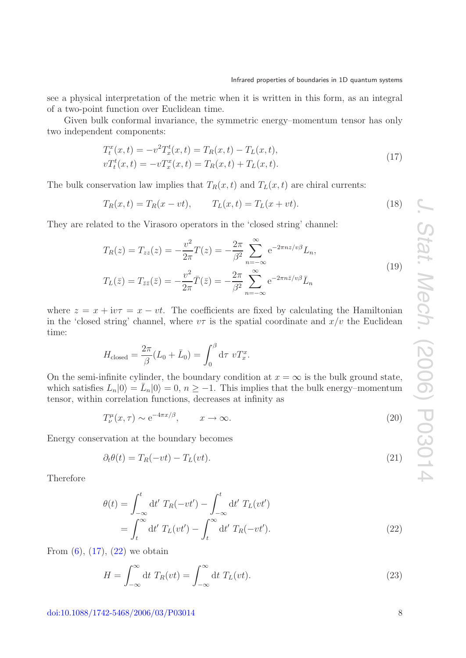see a physical interpretation of the metric when it is written in this form, as an integral of a two-point function over Euclidean time.

Given bulk conformal invariance, the symmetric energy–momentum tensor has only two independent components:

<span id="page-7-0"></span>
$$
T_t^x(x,t) = -v^2 T_x^t(x,t) = T_R(x,t) - T_L(x,t),
$$
  
\n
$$
vT_t^t(x,t) = -vT_x^x(x,t) = T_R(x,t) + T_L(x,t).
$$
\n(17)

The bulk conservation law implies that  $T_R(x,t)$  and  $T_L(x,t)$  are chiral currents:

<span id="page-7-2"></span>
$$
T_R(x,t) = T_R(x - vt), \t T_L(x,t) = T_L(x + vt).
$$
\n(18)

They are related to the Virasoro operators in the 'closed string' channel:

<span id="page-7-4"></span>
$$
T_R(z) = T_{zz}(z) = -\frac{v^2}{2\pi}T(z) = -\frac{2\pi}{\beta^2} \sum_{n=-\infty}^{\infty} e^{-2\pi nz/v\beta} L_n,
$$
  
\n
$$
T_L(\bar{z}) = T_{\bar{z}\bar{z}}(\bar{z}) = -\frac{v^2}{2\pi} \bar{T}(\bar{z}) = -\frac{2\pi}{\beta^2} \sum_{n=-\infty}^{\infty} e^{-2\pi n\bar{z}/v\beta} \bar{L}_n
$$
\n(19)

where  $z = x + i v \tau = x - vt$ . The coefficients are fixed by calculating the Hamiltonian in the 'closed string' channel, where  $v\tau$  is the spatial coordinate and  $x/v$  the Euclidean time:

$$
H_{\text{closed}} = \frac{2\pi}{\beta} (L_0 + \bar{L}_0) = \int_0^\beta d\tau \ v T_x^x.
$$

On the semi-infinite cylinder, the boundary condition at  $x = \infty$  is the bulk ground state, which satisfies  $L_n|0\rangle = L_n|0\rangle = 0, n \ge -1$ . This implies that the bulk energy–momentum tensor, within correlation functions, decreases at infinity as

$$
T^{\mu}_{\nu}(x,\tau) \sim e^{-4\pi x/\beta}, \qquad x \to \infty.
$$
 (20)

Energy conservation at the boundary becomes

$$
\partial_t \theta(t) = T_R(-vt) - T_L(vt). \tag{21}
$$

<span id="page-7-1"></span>Therefore

$$
\theta(t) = \int_{-\infty}^{t} dt' T_R(-vt') - \int_{-\infty}^{t} dt' T_L(vt')
$$

$$
= \int_{t}^{\infty} dt' T_L(vt') - \int_{t}^{\infty} dt' T_R(-vt'). \tag{22}
$$

From  $(6)$ ,  $(17)$ ,  $(22)$  we obtain

<span id="page-7-3"></span>
$$
H = \int_{-\infty}^{\infty} dt \ T_R(vt) = \int_{-\infty}^{\infty} dt \ T_L(vt). \tag{23}
$$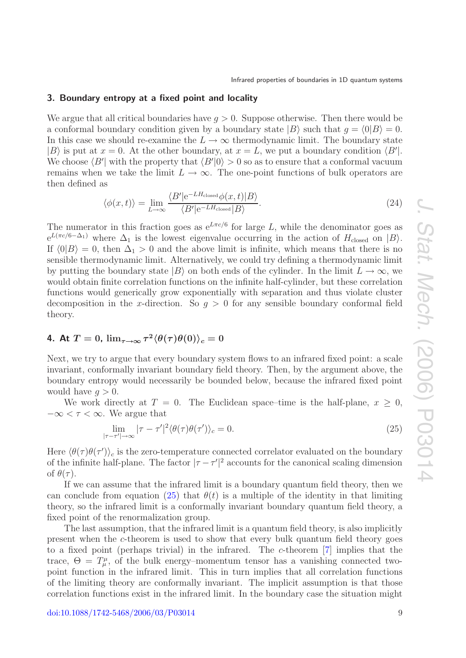#### <span id="page-8-0"></span>**3. Boundary entropy at a fixed point and locality**

We argue that all critical boundaries have  $q > 0$ . Suppose otherwise. Then there would be a conformal boundary condition given by a boundary state  $|B\rangle$  such that  $g = \langle 0|B \rangle = 0$ . In this case we should re-examine the  $L \to \infty$  thermodynamic limit. The boundary state  $|B\rangle$  is put at  $x = 0$ . At the other boundary, at  $x = L$ , we put a boundary condition  $\langle B' |$ . We choose  $\langle B' \rangle$  with the property that  $\langle B' \vert 0 \rangle > 0$  so as to ensure that a conformal vacuum remains when we take the limit  $L \to \infty$ . The one-point functions of bulk operators are then defined as

$$
\langle \phi(x,t) \rangle = \lim_{L \to \infty} \frac{\langle B' | e^{-LH_{\text{closed}}} \phi(x,t) | B \rangle}{\langle B' | e^{-LH_{\text{closed}}} | B \rangle}.
$$
\n(24)

The numerator in this fraction goes as  $e^{L\pi c/6}$  for large L, while the denominator goes as  $e^{L(\pi c/6-\Delta_1)}$  where  $\Delta_1$  is the lowest eigenvalue occurring in the action of  $H_{\text{closed}}$  on  $|B\rangle$ . If  $\langle 0|B \rangle = 0$ , then  $\Delta_1 > 0$  and the above limit is infinite, which means that there is no sensible thermodynamic limit. Alternatively, we could try defining a thermodynamic limit by putting the boundary state  $|B\rangle$  on both ends of the cylinder. In the limit  $L \to \infty$ , we would obtain finite correlation functions on the infinite half-cylinder, but these correlation functions would generically grow exponentially with separation and thus violate cluster decomposition in the x-direction. So  $g > 0$  for any sensible boundary conformal field theory.

## <span id="page-8-1"></span>**4. At**  $T=0$ ,  $\lim_{\tau\rightarrow\infty}\tau^2\langle\theta(\tau)\theta(0)\rangle_c=0$

Next, we try to argue that every boundary system flows to an infrared fixed point: a scale invariant, conformally invariant boundary field theory. Then, by the argument above, the boundary entropy would necessarily be bounded below, because the infrared fixed point would have  $q > 0$ .

We work directly at  $T = 0$ . The Euclidean space–time is the half-plane,  $x \geq 0$ ,  $-\infty < \tau < \infty$ . We argue that

<span id="page-8-2"></span>
$$
\lim_{|\tau - \tau'| \to \infty} |\tau - \tau'|^2 \langle \theta(\tau) \theta(\tau') \rangle_c = 0.
$$
\n(25)

Here  $\langle \theta(\tau) \theta(\tau') \rangle_c$  is the zero-temperature connected correlator evaluated on the boundary of the infinite half-plane. The factor  $|\tau - \tau'|^2$  accounts for the canonical scaling dimension of  $\theta(\tau)$ .

If we can assume that the infrared limit is a boundary quantum field theory, then we can conclude from equation [\(25\)](#page-8-2) that  $\theta(t)$  is a multiple of the identity in that limiting theory, so the infrared limit is a conformally invariant boundary quantum field theory, a fixed point of the renormalization group.

The last assumption, that the infrared limit is a quantum field theory, is also implicitly present when the c-theorem is used to show that every bulk quantum field theory goes to a fixed point (perhaps trivial) in the infrared. The c-theorem [\[7\]](#page-26-4) implies that the trace,  $\Theta = T^{\mu}_{\mu}$ , of the bulk energy-momentum tensor has a vanishing connected twopoint function in the infrared limit. This in turn implies that all correlation functions of the limiting theory are conformally invariant. The implicit assumption is that those correlation functions exist in the infrared limit. In the boundary case the situation might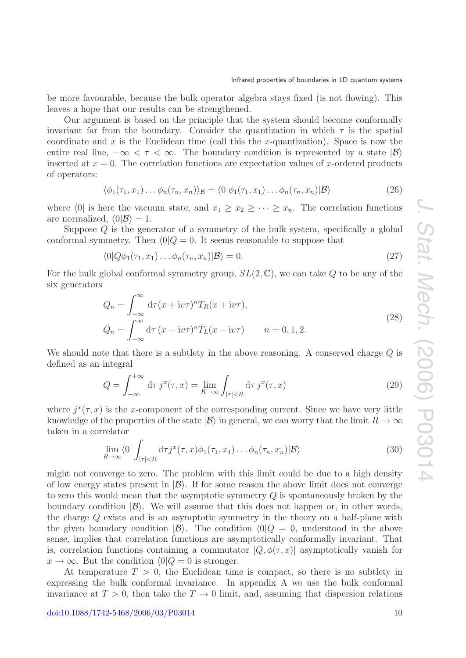be more favourable, because the bulk operator algebra stays fixed (is not flowing). This leaves a hope that our results can be strengthened.

Our argument is based on the principle that the system should become conformally invariant far from the boundary. Consider the quantization in which  $\tau$  is the spatial coordinate and x is the Euclidean time (call this the x-quantization). Space is now the entire real line,  $-\infty < \tau < \infty$ . The boundary condition is represented by a state  $|\mathcal{B}\rangle$ inserted at  $x = 0$ . The correlation functions are expectation values of x-ordered products of operators:

$$
\langle \phi_1(\tau_1, x_1) \dots \phi_n(\tau_n, x_n) \rangle_{\mathcal{B}} = \langle 0 | \phi_1(\tau_1, x_1) \dots \phi_n(\tau_n, x_n) | \mathcal{B} \rangle \tag{26}
$$

where  $\langle 0|$  is here the vacuum state, and  $x_1 \geq x_2 \geq \cdots \geq x_n$ . The correlation functions are normalized,  $\langle 0|\mathcal{B}\rangle = 1$ .

Suppose  $Q$  is the generator of a symmetry of the bulk system, specifically a global conformal symmetry. Then  $\langle 0|Q = 0$ . It seems reasonable to suppose that

$$
\langle 0|Q\phi_1(\tau_1, x_1)\dots\phi_n(\tau_n, x_n)|\mathcal{B}\rangle = 0.
$$
\n(27)

For the bulk global conformal symmetry group,  $SL(2,\mathbb{C})$ , we can take Q to be any of the six generators

$$
Q_n = \int_{-\infty}^{\infty} d\tau (x + i v \tau)^n T_R(x + i v \tau),
$$
  
\n
$$
\bar{Q}_n = \int_{-\infty}^{\infty} d\tau (x - i v \tau)^n \bar{T}_L(x - i v \tau) \qquad n = 0, 1, 2.
$$
\n(28)

We should note that there is a subtlety in the above reasoning. A conserved charge Q is defined as an integral

$$
Q = \int_{-\infty}^{+\infty} d\tau \, j^x(\tau, x) = \lim_{R \to \infty} \int_{|\tau| < R} d\tau \, j^x(\tau, x) \tag{29}
$$

where  $i^{x}(\tau,x)$  is the x-component of the corresponding current. Since we have very little knowledge of the properties of the state  $|\mathcal{B}\rangle$  in general, we can worry that the limit  $R \to \infty$ taken in a correlator

$$
\lim_{R \to \infty} \langle 0 | \int_{|\tau| < R} d\tau j^x(\tau, x) \phi_1(\tau_1, x_1) \dots \phi_n(\tau_n, x_n) | \mathcal{B} \rangle \tag{30}
$$

might not converge to zero. The problem with this limit could be due to a high density of low energy states present in  $|\mathcal{B}\rangle$ . If for some reason the above limit does not converge to zero this would mean that the asymptotic symmetry Q is spontaneously broken by the boundary condition  $|\mathcal{B}\rangle$ . We will assume that this does not happen or, in other words, the charge Q exists and is an asymptotic symmetry in the theory on a half-plane with the given boundary condition  $|\mathcal{B}\rangle$ . The condition  $\langle 0|Q = 0$ , understood in the above sense, implies that correlation functions are asymptotically conformally invariant. That is, correlation functions containing a commutator  $|Q, \phi(\tau, x)|$  asymptotically vanish for  $x \to \infty$ . But the condition  $\langle 0|Q = 0$  is stronger.

At temperature  $T > 0$ , the Euclidean time is compact, so there is no subtlety in expressing the bulk conformal invariance. In appendix A we use the bulk conformal invariance at  $T > 0$ , then take the  $T \to 0$  limit, and, assuming that dispersion relations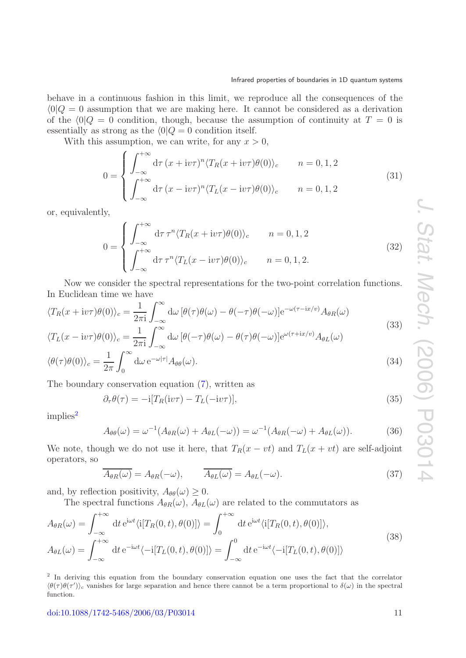behave in a continuous fashion in this limit, we reproduce all the consequences of the  $\langle 0|Q = 0$  assumption that we are making here. It cannot be considered as a derivation of the  $\langle 0|Q = 0$  condition, though, because the assumption of continuity at  $T = 0$  is essentially as strong as the  $\langle 0|Q = 0$  condition itself.

With this assumption, we can write, for any  $x > 0$ ,

$$
0 = \begin{cases} \int_{-\infty}^{+\infty} d\tau (x + i v \tau)^n \langle T_R(x + i v \tau) \theta(0) \rangle_c & n = 0, 1, 2 \\ \int_{-\infty}^{+\infty} d\tau (x - i v \tau)^n \langle T_L(x - i v \tau) \theta(0) \rangle_c & n = 0, 1, 2 \end{cases}
$$
(31)

<span id="page-10-2"></span>or, equivalently,

$$
0 = \begin{cases} \int_{-\infty}^{+\infty} d\tau \, \tau^n \langle T_R(x + i v \tau) \theta(0) \rangle_c & n = 0, 1, 2\\ \int_{-\infty}^{+\infty} d\tau \, \tau^n \langle T_L(x - i v \tau) \theta(0) \rangle_c & n = 0, 1, 2. \end{cases} \tag{32}
$$

Now we consider the spectral representations for the two-point correlation functions. In Euclidean time we have

<span id="page-10-5"></span>
$$
\langle T_R(x + i v \tau) \theta(0) \rangle_c = \frac{1}{2\pi i} \int_{-\infty}^{\infty} d\omega \left[ \theta(\tau) \theta(\omega) - \theta(-\tau) \theta(-\omega) \right] e^{-\omega(\tau - i x/v)} A_{\theta R}(\omega)
$$
  

$$
\langle T_L(x - i v \tau) \theta(0) \rangle_c = \frac{1}{2\pi i} \int_{-\infty}^{\infty} d\omega \left[ \theta(-\tau) \theta(\omega) - \theta(\tau) \theta(-\omega) \right] e^{\omega(\tau + i x/v)} A_{\theta L}(\omega)
$$
\n(33)

$$
\langle \theta(\tau)\theta(0) \rangle_c = \frac{1}{2\pi} \int_0^\infty d\omega \, e^{-\omega|\tau|} A_{\theta\theta}(\omega). \tag{34}
$$

The boundary conservation equation [\(7\)](#page-4-3), written as

$$
\partial_{\tau}\theta(\tau) = -i[T_R(iv\tau) - T_L(-iv\tau)],\tag{35}
$$

<span id="page-10-4"></span> $implies<sup>2</sup>$  $implies<sup>2</sup>$  $implies<sup>2</sup>$ 

$$
A_{\theta\theta}(\omega) = \omega^{-1}(A_{\theta R}(\omega) + A_{\theta L}(-\omega)) = \omega^{-1}(A_{\theta R}(-\omega) + A_{\theta L}(\omega)).
$$
\n(36)

<span id="page-10-3"></span>We note, though we do not use it here, that  $T_R(x - vt)$  and  $T_L(x + vt)$  are self-adjoint operators, so

<span id="page-10-1"></span>
$$
\overline{A_{\theta R}(\omega)} = A_{\theta R}(-\omega), \qquad \overline{A_{\theta L}(\omega)} = A_{\theta L}(-\omega). \tag{37}
$$

and, by reflection positivity,  $A_{\theta\theta}(\omega) \geq 0$ .

The spectral functions  $A_{\theta R}(\omega)$ ,  $A_{\theta L}(\omega)$  are related to the commutators as

$$
A_{\theta R}(\omega) = \int_{-\infty}^{+\infty} dt \, e^{i\omega t} \langle i[T_R(0, t), \theta(0)] \rangle = \int_0^{+\infty} dt \, e^{i\omega t} \langle i[T_R(0, t), \theta(0)] \rangle,
$$
  
\n
$$
A_{\theta L}(\omega) = \int_{-\infty}^{+\infty} dt \, e^{-i\omega t} \langle -i[T_L(0, t), \theta(0)] \rangle = \int_{-\infty}^0 dt \, e^{-i\omega t} \langle -i[T_L(0, t), \theta(0)] \rangle
$$
\n(38)

<span id="page-10-0"></span><sup>2</sup> In deriving this equation from the boundary conservation equation one uses the fact that the correlator  $\langle \theta(\tau) \theta(\tau') \rangle_c$  vanishes for large separation and hence there cannot be a term proportional to  $\delta(\omega)$  in the spectral function.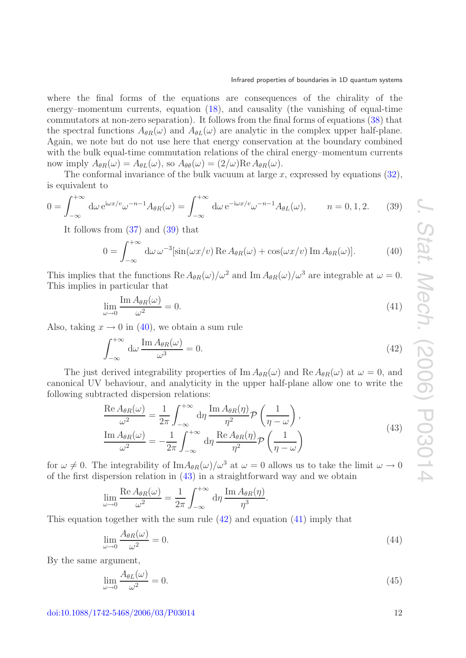where the final forms of the equations are consequences of the chirality of the energy–momentum currents, equation [\(18\)](#page-7-2), and causality (the vanishing of equal-time commutators at non-zero separation). It follows from the final forms of equations [\(38\)](#page-10-1) that the spectral functions  $A_{\theta R}(\omega)$  and  $A_{\theta L}(\omega)$  are analytic in the complex upper half-plane. Again, we note but do not use here that energy conservation at the boundary combined with the bulk equal-time commutation relations of the chiral energy–momentum currents now imply  $A_{\theta R}(\omega) = A_{\theta L}(\omega)$ , so  $A_{\theta \theta}(\omega) = (2/\omega) \text{Re } A_{\theta R}(\omega)$ .

The conformal invariance of the bulk vacuum at large  $x$ , expressed by equations [\(32\)](#page-10-2), is equivalent to

<span id="page-11-0"></span>
$$
0 = \int_{-\infty}^{+\infty} d\omega \, e^{i\omega x/v} \omega^{-n-1} A_{\theta R}(\omega) = \int_{-\infty}^{+\infty} d\omega \, e^{-i\omega x/v} \omega^{-n-1} A_{\theta L}(\omega), \qquad n = 0, 1, 2. \tag{39}
$$

It follows from [\(37\)](#page-10-3) and [\(39\)](#page-11-0) that

<span id="page-11-1"></span>
$$
0 = \int_{-\infty}^{+\infty} d\omega \, \omega^{-3} [\sin(\omega x/v) \operatorname{Re} A_{\theta R}(\omega) + \cos(\omega x/v) \operatorname{Im} A_{\theta R}(\omega)]. \tag{40}
$$

This implies that the functions  $\text{Re }A_{\theta R}(\omega)/\omega^2$  and  $\text{Im }A_{\theta R}(\omega)/\omega^3$  are integrable at  $\omega = 0$ . This implies in particular that

<span id="page-11-4"></span>
$$
\lim_{\omega \to 0} \frac{\operatorname{Im} A_{\theta R}(\omega)}{\omega^2} = 0. \tag{41}
$$

Also, taking  $x \to 0$  in [\(40\)](#page-11-1), we obtain a sum rule

<span id="page-11-3"></span>
$$
\int_{-\infty}^{+\infty} d\omega \, \frac{\text{Im}\, A_{\theta R}(\omega)}{\omega^3} = 0. \tag{42}
$$

The just derived integrability properties of  $\text{Im } A_{\theta R}(\omega)$  and  $\text{Re } A_{\theta R}(\omega)$  at  $\omega = 0$ , and canonical UV behaviour, and analyticity in the upper half-plane allow one to write the following subtracted dispersion relations:

<span id="page-11-2"></span>
$$
\frac{\text{Re }A_{\theta R}(\omega)}{\omega^2} = \frac{1}{2\pi} \int_{-\infty}^{+\infty} d\eta \, \frac{\text{Im }A_{\theta R}(\eta)}{\eta^2} \mathcal{P}\left(\frac{1}{\eta - \omega}\right),
$$
\n
$$
\frac{\text{Im }A_{\theta R}(\omega)}{\omega^2} = -\frac{1}{2\pi} \int_{-\infty}^{+\infty} d\eta \, \frac{\text{Re }A_{\theta R}(\eta)}{\eta^2} \mathcal{P}\left(\frac{1}{\eta - \omega}\right)
$$
\n(43)

for  $\omega \neq 0$ . The integrability of Im $A_{\theta R}(\omega)/\omega^3$  at  $\omega = 0$  allows us to take the limit  $\omega \to 0$ of the first dispersion relation in [\(43\)](#page-11-2) in a straightforward way and we obtain

$$
\lim_{\omega \to 0} \frac{\text{Re } A_{\theta R}(\omega)}{\omega^2} = \frac{1}{2\pi} \int_{-\infty}^{+\infty} d\eta \, \frac{\text{Im } A_{\theta R}(\eta)}{\eta^3}.
$$

This equation together with the sum rule  $(42)$  and equation  $(41)$  imply that

<span id="page-11-5"></span>
$$
\lim_{\omega \to 0} \frac{A_{\theta R}(\omega)}{\omega^2} = 0. \tag{44}
$$

By the same argument,

<span id="page-11-6"></span>
$$
\lim_{\omega \to 0} \frac{A_{\theta L}(\omega)}{\omega^2} = 0. \tag{45}
$$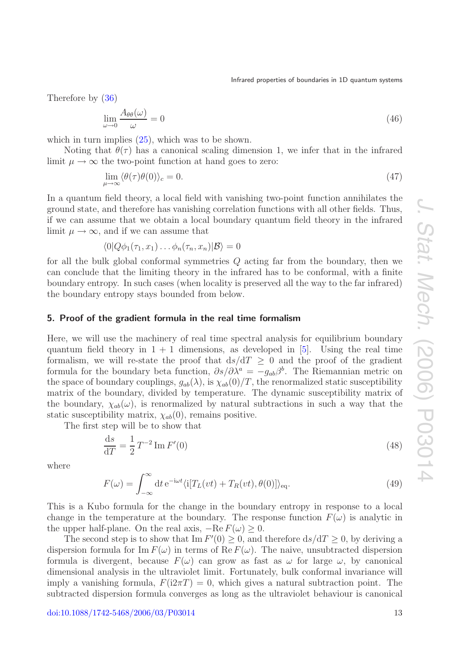Therefore by [\(36\)](#page-10-4)

$$
\lim_{\omega \to 0} \frac{A_{\theta\theta}(\omega)}{\omega} = 0 \tag{46}
$$

which in turn implies  $(25)$ , which was to be shown.

Noting that  $\theta(\tau)$  has a canonical scaling dimension 1, we infer that in the infrared limit  $\mu \to \infty$  the two-point function at hand goes to zero:

$$
\lim_{\mu \to \infty} \langle \theta(\tau) \theta(0) \rangle_c = 0. \tag{47}
$$

In a quantum field theory, a local field with vanishing two-point function annihilates the ground state, and therefore has vanishing correlation functions with all other fields. Thus, if we can assume that we obtain a local boundary quantum field theory in the infrared limit  $\mu \to \infty$ , and if we can assume that

$$
\langle 0|Q\phi_1(\tau_1,x_1)\dots\phi_n(\tau_n,x_n)|\mathcal{B}\rangle=0
$$

for all the bulk global conformal symmetries Q acting far from the boundary, then we can conclude that the limiting theory in the infrared has to be conformal, with a finite boundary entropy. In such cases (when locality is preserved all the way to the far infrared) the boundary entropy stays bounded from below.

## <span id="page-12-0"></span>**5. Proof of the gradient formula in the real time formalism**

Here, we will use the machinery of real time spectral analysis for equilibrium boundary quantum field theory in  $1 + 1$  dimensions, as developed in [\[5\]](#page-26-7). Using the real time formalism, we will re-state the proof that  $ds/dT \geq 0$  and the proof of the gradient formula for the boundary beta function,  $\partial s/\partial \lambda^a = -g_{ab}\beta^b$ . The Riemannian metric on the space of boundary couplings,  $g_{ab}(\lambda)$ , is  $\chi_{ab}(0)/T$ , the renormalized static susceptibility matrix of the boundary, divided by temperature. The dynamic susceptibility matrix of the boundary,  $\chi_{ab}(\omega)$ , is renormalized by natural subtractions in such a way that the static susceptibility matrix,  $\chi_{ab}(0)$ , remains positive.

The first step will be to show that

<span id="page-12-1"></span>
$$
\frac{\mathrm{d}s}{\mathrm{d}T} = \frac{1}{2}T^{-2}\operatorname{Im}F'(0) \tag{48}
$$

<span id="page-12-2"></span>where

$$
F(\omega) = \int_{-\infty}^{\infty} dt \, e^{-i\omega t} \langle i[T_L(vt) + T_R(vt), \theta(0)] \rangle_{\text{eq}}.
$$
 (49)

This is a Kubo formula for the change in the boundary entropy in response to a local change in the temperature at the boundary. The response function  $F(\omega)$  is analytic in the upper half-plane. On the real axis,  $-Re F(\omega) \geq 0$ .

The second step is to show that  $\text{Im } F'(0) \geq 0$ , and therefore  $ds/dT \geq 0$ , by deriving a dispersion formula for Im  $F(\omega)$  in terms of Re  $F(\omega)$ . The naive, unsubtracted dispersion formula is divergent, because  $F(\omega)$  can grow as fast as  $\omega$  for large  $\omega$ , by canonical dimensional analysis in the ultraviolet limit. Fortunately, bulk conformal invariance will imply a vanishing formula,  $F(i2\pi T) = 0$ , which gives a natural subtraction point. The subtracted dispersion formula converges as long as the ultraviolet behaviour is canonical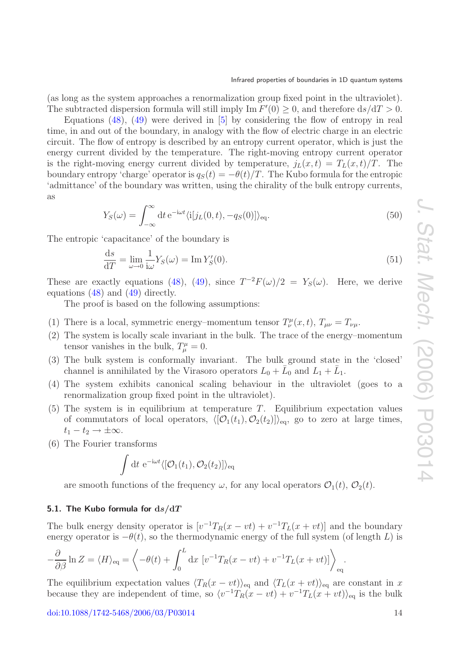(as long as the system approaches a renormalization group fixed point in the ultraviolet). The subtracted dispersion formula will still imply  $\text{Im } F'(0) \geq 0$ , and therefore  $ds/dT > 0$ .

Equations  $(48)$ ,  $(49)$  were derived in [\[5\]](#page-26-7) by considering the flow of entropy in real time, in and out of the boundary, in analogy with the flow of electric charge in an electric circuit. The flow of entropy is described by an entropy current operator, which is just the energy current divided by the temperature. The right-moving entropy current operator is the right-moving energy current divided by temperature,  $j_L(x, t) = T_L(x, t)/T$ . The boundary entropy 'charge' operator is  $q_S(t) = -\theta(t)/T$ . The Kubo formula for the entropic 'admittance' of the boundary was written, using the chirality of the bulk entropy currents, as

$$
Y_S(\omega) = \int_{-\infty}^{\infty} dt \, e^{-i\omega t} \langle i[j_L(0, t), -q_S(0)] \rangle_{\text{eq}}.
$$
\n(50)

The entropic 'capacitance' of the boundary is

$$
\frac{\mathrm{d}s}{\mathrm{d}T} = \lim_{\omega \to 0} \frac{1}{\mathrm{i}\omega} Y_S(\omega) = \mathrm{Im}\, Y'_S(0). \tag{51}
$$

These are exactly equations [\(48\)](#page-12-1), [\(49\)](#page-12-2), since  $T^{-2}F(\omega)/2 = Y_S(\omega)$ . Here, we derive equations [\(48\)](#page-12-1) and [\(49\)](#page-12-2) directly.

The proof is based on the following assumptions:

- (1) There is a local, symmetric energy–momentum tensor  $T^{\mu}_{\nu}(x,t)$ ,  $T_{\mu\nu} = T_{\nu\mu}$ .
- (2) The system is locally scale invariant in the bulk. The trace of the energy–momentum tensor vanishes in the bulk,  $T^{\mu}_{\mu} = 0$ .
- (3) The bulk system is conformally invariant. The bulk ground state in the 'closed' channel is annihilated by the Virasoro operators  $L_0 + L_0$  and  $L_1 + L_1$ .
- (4) The system exhibits canonical scaling behaviour in the ultraviolet (goes to a renormalization group fixed point in the ultraviolet).
- $(5)$  The system is in equilibrium at temperature T. Equilibrium expectation values of commutators of local operators,  $\langle [\mathcal{O}_1(t_1), \mathcal{O}_2(t_2)] \rangle_{\text{eq}}$ , go to zero at large times,  $t_1 - t_2 \rightarrow \pm \infty$ .
- (6) The Fourier transforms

$$
\int dt e^{-i\omega t} \langle [\mathcal{O}_1(t_1), \mathcal{O}_2(t_2)] \rangle_{\text{eq}}
$$

are smooth functions of the frequency  $\omega$ , for any local operators  $\mathcal{O}_1(t)$ ,  $\mathcal{O}_2(t)$ .

#### <span id="page-13-0"></span>**5.1. The Kubo formula for d***s/***d***T*

The bulk energy density operator is  $[v^{-1}T_R(x - vt) + v^{-1}T_L(x + vt)]$  and the boundary energy operator is  $-\theta(t)$ , so the thermodynamic energy of the full system (of length L) is

$$
-\frac{\partial}{\partial \beta} \ln Z = \langle H \rangle_{\text{eq}} = \left\langle -\theta(t) + \int_0^L dx \left[ v^{-1} T_R(x - vt) + v^{-1} T_L(x + vt) \right] \right\rangle_{\text{eq}}.
$$

The equilibrium expectation values  $\langle T_R(x - vt) \rangle_{\text{eq}}$  and  $\langle T_L(x + vt) \rangle_{\text{eq}}$  are constant in x because they are independent of time, so  $\langle v^{-1}T_R(x - vt) + v^{-1}T_L(x + vt)\rangle_{\text{eq}}$  is the bulk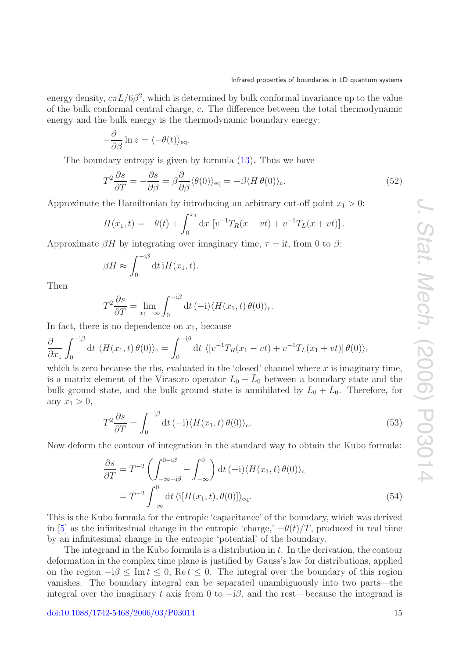energy density,  $c\pi L/6\beta^2$ , which is determined by bulk conformal invariance up to the value of the bulk conformal central charge, c. The difference between the total thermodynamic energy and the bulk energy is the thermodynamic boundary energy:

$$
-\frac{\partial}{\partial \beta} \ln z = \langle -\theta(t) \rangle_{\text{eq}}.
$$

The boundary entropy is given by formula [\(13\)](#page-6-0). Thus we have

$$
T^{2}\frac{\partial s}{\partial T} = -\frac{\partial s}{\partial \beta} = \beta \frac{\partial}{\partial \beta} \langle \theta(0) \rangle_{\text{eq}} = -\beta \langle H \theta(0) \rangle_{\text{c}}.
$$
\n(52)

Approximate the Hamiltonian by introducing an arbitrary cut-off point  $x_1 > 0$ :

$$
H(x_1, t) = -\theta(t) + \int_0^{x_1} dx \, [v^{-1}T_R(x - vt) + v^{-1}T_L(x + vt)].
$$

Approximate  $\beta H$  by integrating over imaginary time,  $\tau = it$ , from 0 to  $\beta$ :

$$
\beta H \approx \int_0^{-i\beta} dt \, \mathrm{i} H(x_1, t).
$$

Then

$$
T^{2} \frac{\partial s}{\partial T} = \lim_{x_{1} \to \infty} \int_{0}^{-i\beta} dt \, (-i) \langle H(x_{1}, t) \, \theta(0) \rangle_{c}.
$$

In fact, there is no dependence on  $x_1$ , because

$$
\frac{\partial}{\partial x_1} \int_0^{-i\beta} dt \, \langle H(x_1, t) \, \theta(0) \rangle_c = \int_0^{-i\beta} dt \, \langle [v^{-1} T_R(x_1 - vt) + v^{-1} T_L(x_1 + vt)] \, \theta(0) \rangle_c
$$

which is zero because the rhs, evaluated in the 'closed' channel where  $x$  is imaginary time, is a matrix element of the Virasoro operator  $L_0 + \bar{L}_0$  between a boundary state and the bulk ground state, and the bulk ground state is annihilated by  $L_0 + \bar{L}_0$ . Therefore, for any  $x_1 > 0$ ,

$$
T^{2} \frac{\partial s}{\partial T} = \int_{0}^{-i\beta} dt \, (-i) \langle H(x_{1}, t) \theta(0) \rangle_{c}.
$$
 (53)

<span id="page-14-0"></span>Now deform the contour of integration in the standard way to obtain the Kubo formula:

$$
\frac{\partial s}{\partial T} = T^{-2} \left( \int_{-\infty - i\beta}^{0 - i\beta} - \int_{-\infty}^{0} \right) dt \, (-i) \langle H(x_1, t) \, \theta(0) \rangle_c
$$
  
= 
$$
T^{-2} \int_{-\infty}^{0} dt \, \langle i[H(x_1, t), \theta(0)] \rangle_{\text{eq}}.
$$
 (54)

This is the Kubo formula for the entropic 'capacitance' of the boundary, which was derived in [\[5\]](#page-26-7) as the infinitesimal change in the entropic 'charge,'  $-\theta(t)/T$ , produced in real time by an infinitesimal change in the entropic 'potential' of the boundary.

The integrand in the Kubo formula is a distribution in  $t$ . In the derivation, the contour deformation in the complex time plane is justified by Gauss's law for distributions, applied on the region  $-i\beta \leq \text{Im } t \leq 0$ , Re  $t \leq 0$ . The integral over the boundary of this region vanishes. The boundary integral can be separated unambiguously into two parts—the integral over the imaginary t axis from 0 to  $-i\beta$ , and the rest—because the integrand is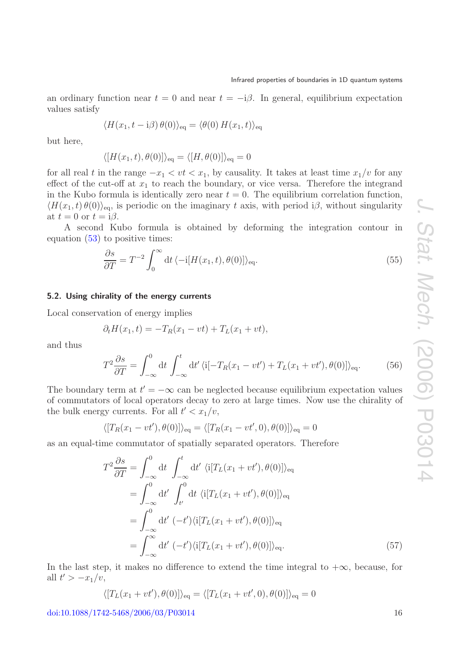an ordinary function near  $t = 0$  and near  $t = -i\beta$ . In general, equilibrium expectation values satisfy

$$
\langle H(x_1, t - \mathrm{i}\beta) \theta(0) \rangle_{\text{eq}} = \langle \theta(0) H(x_1, t) \rangle_{\text{eq}}
$$

but here,

$$
\langle [H(x_1,t),\theta(0)]\rangle_{\text{eq}} = \langle [H,\theta(0)]\rangle_{\text{eq}} = 0
$$

for all real t in the range  $-x_1 < vt < x_1$ , by causality. It takes at least time  $x_1/v$  for any effect of the cut-off at  $x_1$  to reach the boundary, or vice versa. Therefore the integrand in the Kubo formula is identically zero near  $t = 0$ . The equilibrium correlation function,  $\langle H(x_1, t) \theta(0) \rangle_{\text{eq}}$ , is periodic on the imaginary t axis, with period i $\beta$ , without singularity at  $t = 0$  or  $t = i\beta$ .

A second Kubo formula is obtained by deforming the integration contour in equation [\(53\)](#page-14-0) to positive times:

<span id="page-15-1"></span>
$$
\frac{\partial s}{\partial T} = T^{-2} \int_0^\infty dt \, \langle -i[H(x_1, t), \theta(0)] \rangle_{\text{eq}}.\tag{55}
$$

#### <span id="page-15-0"></span>**5.2. Using chirality of the energy currents**

Local conservation of energy implies

$$
\partial_t H(x_1, t) = -T_R(x_1 - vt) + T_L(x_1 + vt),
$$

and thus

$$
T^{2}\frac{\partial s}{\partial T} = \int_{-\infty}^{0} dt \int_{-\infty}^{t} dt' \langle i[-T_{R}(x_{1}-vt') + T_{L}(x_{1}+vt'), \theta(0)]\rangle_{\text{eq}}.
$$
 (56)

The boundary term at  $t' = -\infty$  can be neglected because equilibrium expectation values of commutators of local operators decay to zero at large times. Now use the chirality of the bulk energy currents. For all  $t' < x_1/v$ ,

$$
\langle [T_R(x_1 - vt'), \theta(0)] \rangle_{\text{eq}} = \langle [T_R(x_1 - vt', 0), \theta(0)] \rangle_{\text{eq}} = 0
$$

as an equal-time commutator of spatially separated operators. Therefore

$$
T^{2} \frac{\partial s}{\partial T} = \int_{-\infty}^{0} dt \int_{-\infty}^{t} dt' \langle i[T_{L}(x_{1} + vt'), \theta(0)] \rangle_{\text{eq}}
$$
  
\n
$$
= \int_{-\infty}^{0} dt' \int_{t'}^{0} dt \langle i[T_{L}(x_{1} + vt'), \theta(0)] \rangle_{\text{eq}}
$$
  
\n
$$
= \int_{-\infty}^{0} dt' (-t') \langle i[T_{L}(x_{1} + vt'), \theta(0)] \rangle_{\text{eq}}
$$
  
\n
$$
= \int_{-\infty}^{\infty} dt' (-t') \langle i[T_{L}(x_{1} + vt'), \theta(0)] \rangle_{\text{eq}}.
$$
 (57)

In the last step, it makes no difference to extend the time integral to  $+\infty$ , because, for all  $t' > -x_1/v$ ,

 $\langle [T_L(x_1 + vt'), \theta(0)] \rangle_{\text{eq}} = \langle [T_L(x_1 + vt', 0), \theta(0)] \rangle_{\text{eq}} = 0$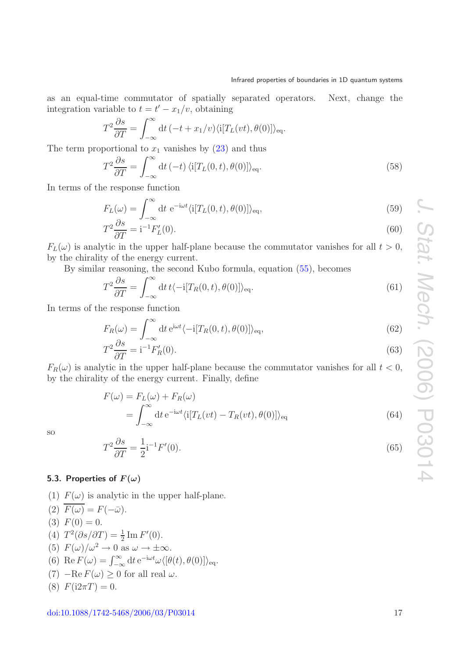as an equal-time commutator of spatially separated operators. Next, change the integration variable to  $t = t' - x_1/v$ , obtaining

$$
T^{2} \frac{\partial s}{\partial T} = \int_{-\infty}^{\infty} dt \, (-t + x_{1}/v) \langle i[T_{L}(vt), \theta(0)] \rangle_{\text{eq}}.
$$

The term proportional to  $x_1$  vanishes by  $(23)$  and thus

$$
T^{2} \frac{\partial s}{\partial T} = \int_{-\infty}^{\infty} dt \, (-t) \, \langle i[T_{L}(0, t), \theta(0)] \rangle_{\text{eq}}.
$$
 (58)

In terms of the response function

$$
F_L(\omega) = \int_{-\infty}^{\infty} dt \ e^{-i\omega t} \langle i[T_L(0, t), \theta(0)] \rangle_{\text{eq}},
$$
\n(59)

$$
T^2 \frac{\partial s}{\partial T} = i^{-1} F_L'(0). \tag{60}
$$

 $F_L(\omega)$  is analytic in the upper half-plane because the commutator vanishes for all  $t > 0$ , by the chirality of the energy current.

By similar reasoning, the second Kubo formula, equation [\(55\)](#page-15-1), becomes

$$
T^{2}\frac{\partial s}{\partial T} = \int_{-\infty}^{\infty} dt \, t \langle -i[T_{R}(0, t), \theta(0)] \rangle_{\text{eq}}.
$$
\n(61)

In terms of the response function

$$
F_R(\omega) = \int_{-\infty}^{\infty} dt \, e^{i\omega t} \langle -i[T_R(0, t), \theta(0)] \rangle_{\text{eq}},
$$
\n
$$
\partial s \tag{62}
$$

$$
T^2 \frac{\partial s}{\partial T} = i^{-1} F'_R(0). \tag{63}
$$

 $F_R(\omega)$  is analytic in the upper half-plane because the commutator vanishes for all  $t < 0$ , by the chirality of the energy current. Finally, define

$$
F(\omega) = F_L(\omega) + F_R(\omega)
$$
  
= 
$$
\int_{-\infty}^{\infty} dt e^{-i\omega t} \langle i[T_L(vt) - T_R(vt), \theta(0)] \rangle_{\text{eq}}
$$
 (64)

<span id="page-16-1"></span>so

$$
T^2 \frac{\partial s}{\partial T} = \frac{1}{2} \mathbf{i}^{-1} F'(0). \tag{65}
$$

### <span id="page-16-0"></span>**5.3. Properties of**  $F(\omega)$

(1)  $F(\omega)$  is analytic in the upper half-plane.

(2)  $F(\omega) = F(-\bar{\omega}).$ (3)  $F(0) = 0$ . (4)  $T^2(\partial s/\partial T) = \frac{1}{2} \text{Im } F'(0)$ . (5)  $F(\omega)/\omega^2 \to 0$  as  $\omega \to \pm \infty$ . (6) Re  $F(\omega) = \int_{-\infty}^{\infty} dt e^{-i\omega t} \omega \langle [\theta(t), \theta(0)] \rangle_{\text{eq}}$ . (7)  $-\text{Re } F(\omega) \geq 0$  for all real  $\omega$ . (8)  $F(i2\pi T) = 0$ .

$$
doi:10.1088/1742-5468/2006/03/P03014
$$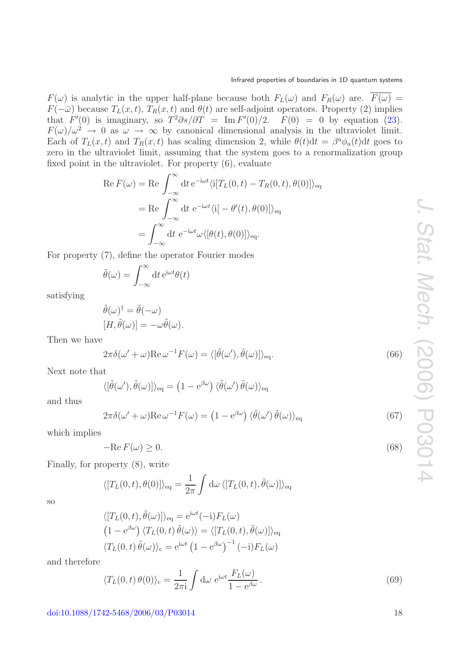$F(\omega)$  is analytic in the upper half-plane because both  $F_L(\omega)$  and  $F_R(\omega)$  are.  $\overline{F(\omega)}$  =  $F(-\bar{\omega})$  because  $T_L(x,t)$ ,  $T_R(x,t)$  and  $\theta(t)$  are self-adjoint operators. Property (2) implies that  $F'(0)$  is imaginary, so  $T^2 \partial s / \partial T = \text{Im } F'(0)/2$ .  $F(0) = 0$  by equation [\(23\)](#page-7-3).  $F(\omega)/\omega^2 \to 0$  as  $\omega \to \infty$  by canonical dimensional analysis in the ultraviolet limit. Each of  $T_L(x,t)$  and  $T_R(x,t)$  has scaling dimension 2, while  $\theta(t)dt = \beta^a \phi_a(t)dt$  goes to zero in the ultraviolet limit, assuming that the system goes to a renormalization group fixed point in the ultraviolet. For property (6), evaluate

$$
\operatorname{Re} F(\omega) = \operatorname{Re} \int_{-\infty}^{\infty} dt \, e^{-i\omega t} \langle i[T_L(0, t) - T_R(0, t), \theta(0)] \rangle_{\text{eq}}
$$

$$
= \operatorname{Re} \int_{-\infty}^{\infty} dt \, e^{-i\omega t} \langle i[-\theta'(t), \theta(0)] \rangle_{\text{eq}}
$$

$$
= \int_{-\infty}^{\infty} dt \, e^{-i\omega t} \omega \langle [\theta(t), \theta(0)] \rangle_{\text{eq}}.
$$

For property (7), define the operator Fourier modes

$$
\tilde{\theta}(\omega) = \int_{-\infty}^{\infty} dt \, e^{i\omega t} \theta(t)
$$

satisfying

$$
\tilde{\theta}(\omega)^{\dagger} = \tilde{\theta}(-\omega) \n[H, \tilde{\theta}(\omega)] = -\omega \tilde{\theta}(\omega).
$$

Then we have

$$
2\pi\delta(\omega' + \omega)\text{Re}\,\omega^{-1}F(\omega) = \langle[\tilde{\theta}(\omega'),\tilde{\theta}(\omega)]\rangle_{\text{eq}}.\tag{66}
$$

Next note that

$$
\langle [\tilde{\theta}(\omega'), \tilde{\theta}(\omega)] \rangle_{\text{eq}} = (1 - e^{\beta \omega}) \langle \tilde{\theta}(\omega') \tilde{\theta}(\omega) \rangle_{\text{eq}}
$$

<span id="page-17-0"></span>and thus

$$
2\pi\delta(\omega' + \omega)\text{Re}\,\omega^{-1}F(\omega) = (1 - e^{\beta\omega})\,\langle\tilde{\theta}(\omega')\,\tilde{\theta}(\omega)\rangle_{\text{eq}}\tag{67}
$$

which implies

$$
-\mathrm{Re}\,F(\omega) \ge 0.\tag{68}
$$

Finally, for property (8), write

$$
\langle [T_L(0,t), \theta(0)] \rangle_{\text{eq}} = \frac{1}{2\pi} \int d\omega \, \langle [T_L(0,t), \tilde{\theta}(\omega)] \rangle_{\text{eq}}
$$

so

$$
\langle [T_L(0, t), \tilde{\theta}(\omega)] \rangle_{\text{eq}} = e^{i\omega t} (-i) F_L(\omega)
$$
  

$$
(1 - e^{\beta \omega}) \langle T_L(0, t) \tilde{\theta}(\omega) \rangle = \langle [T_L(0, t), \tilde{\theta}(\omega)] \rangle_{\text{eq}}
$$
  

$$
\langle T_L(0, t) \tilde{\theta}(\omega) \rangle_{\text{c}} = e^{i\omega t} (1 - e^{\beta \omega})^{-1} (-i) F_L(\omega)
$$

and therefore

$$
\langle T_L(0,t)\,\theta(0)\rangle_c = \frac{1}{2\pi i} \int d\omega \ e^{i\omega t} \frac{F_L(\omega)}{1 - e^{\beta \omega}}.
$$
\n(69)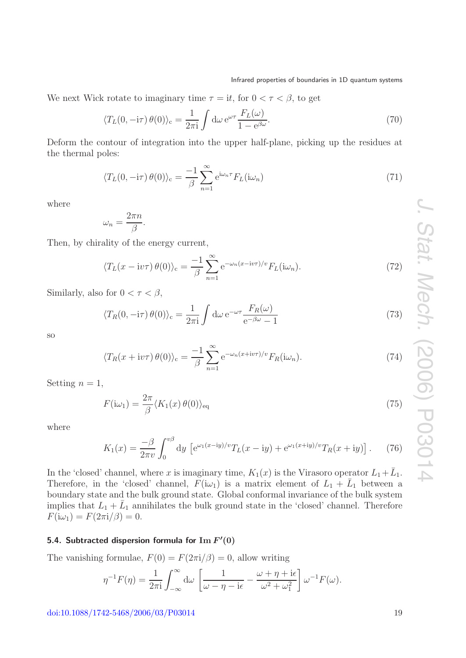We next Wick rotate to imaginary time  $\tau = it$ , for  $0 < \tau < \beta$ , to get

$$
\langle T_L(0, -\mathrm{i}\tau)\,\theta(0)\rangle_c = \frac{1}{2\pi\mathrm{i}} \int \mathrm{d}\omega \,\mathrm{e}^{\omega\tau} \frac{F_L(\omega)}{1 - \mathrm{e}^{\beta\omega}}.\tag{70}
$$

Deform the contour of integration into the upper half-plane, picking up the residues at the thermal poles:

$$
\langle T_L(0, -\mathrm{i}\tau)\,\theta(0)\rangle_c = \frac{-1}{\beta} \sum_{n=1}^{\infty} \mathrm{e}^{\mathrm{i}\omega_n \tau} F_L(\mathrm{i}\omega_n) \tag{71}
$$

where

$$
\omega_n = \frac{2\pi n}{\beta}.
$$

Then, by chirality of the energy current,

$$
\langle T_L(x - \mathrm{i}v\tau)\,\theta(0)\rangle_c = \frac{-1}{\beta} \sum_{n=1}^{\infty} \mathrm{e}^{-\omega_n(x - \mathrm{i}v\tau)/v} F_L(\mathrm{i}\omega_n). \tag{72}
$$

Similarly, also for  $0 < \tau < \beta$ ,

<span id="page-18-1"></span>
$$
\langle T_R(0, -\mathrm{i}\tau)\,\theta(0)\rangle_c = \frac{1}{2\pi\mathrm{i}} \int \mathrm{d}\omega \,\mathrm{e}^{-\omega\tau} \frac{F_R(\omega)}{\mathrm{e}^{-\beta\omega} - 1} \tag{73}
$$

so

$$
\langle T_R(x + i v \tau) \theta(0) \rangle_c = \frac{-1}{\beta} \sum_{n=1}^{\infty} e^{-\omega_n (x + i v \tau)/v} F_R(i\omega_n).
$$
 (74)

Setting  $n = 1$ ,

$$
F(i\omega_1) = \frac{2\pi}{\beta} \langle K_1(x)\,\theta(0) \rangle_{\text{eq}} \tag{75}
$$

where

$$
K_1(x) = \frac{-\beta}{2\pi v} \int_0^{v\beta} dy \, \left[ e^{\omega_1(x - iy)/v} T_L(x - iy) + e^{\omega_1(x + iy)/v} T_R(x + iy) \right]. \tag{76}
$$

In the 'closed' channel, where x is imaginary time,  $K_1(x)$  is the Virasoro operator  $L_1+\bar{L}_1$ . Therefore, in the 'closed' channel,  $F(i\omega_1)$  is a matrix element of  $L_1 + \bar{L}_1$  between a boundary state and the bulk ground state. Global conformal invariance of the bulk system implies that  $L_1 + \bar{L}_1$  annihilates the bulk ground state in the 'closed' channel. Therefore  $F(i\omega_1) = F(2\pi i/\beta) = 0.$ 

## <span id="page-18-0"></span>**5.4. Subtracted dispersion formula for Im** *F* **(0)**

The vanishing formulae,  $F(0) = F(2\pi i/\beta) = 0$ , allow writing

$$
\eta^{-1}F(\eta) = \frac{1}{2\pi i} \int_{-\infty}^{\infty} d\omega \left[ \frac{1}{\omega - \eta - i\epsilon} - \frac{\omega + \eta + i\epsilon}{\omega^2 + \omega_1^2} \right] \omega^{-1}F(\omega).
$$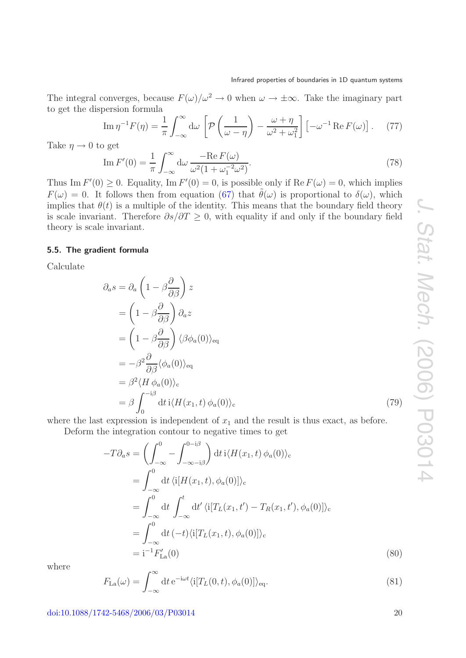The integral converges, because  $F(\omega)/\omega^2 \to 0$  when  $\omega \to \pm \infty$ . Take the imaginary part to get the dispersion formula

$$
\operatorname{Im} \eta^{-1} F(\eta) = \frac{1}{\pi} \int_{-\infty}^{\infty} d\omega \left[ \mathcal{P} \left( \frac{1}{\omega - \eta} \right) - \frac{\omega + \eta}{\omega^2 + \omega_1^2} \right] \left[ -\omega^{-1} \operatorname{Re} F(\omega) \right]. \tag{77}
$$

<span id="page-19-2"></span>Take  $\eta \rightarrow 0$  to get

$$
\operatorname{Im} F'(0) = \frac{1}{\pi} \int_{-\infty}^{\infty} d\omega \, \frac{-\operatorname{Re} F(\omega)}{\omega^2 (1 + \omega_1^{-2} \omega^2)}.
$$
\n(78)

Thus Im  $F'(0) \ge 0$ . Equality, Im  $F'(0) = 0$ , is possible only if Re  $F(\omega) = 0$ , which implies  $F(\omega) = 0$ . It follows then from equation [\(67\)](#page-17-0) that  $\tilde{\theta}(\omega)$  is proportional to  $\delta(\omega)$ , which implies that  $\theta(t)$  is a multiple of the identity. This means that the boundary field theory is scale invariant. Therefore  $\partial s/\partial T > 0$ , with equality if and only if the boundary field theory is scale invariant.

#### <span id="page-19-0"></span>**5.5. The gradient formula**

Calculate

$$
\partial_{a} s = \partial_{a} \left( 1 - \beta \frac{\partial}{\partial \beta} \right) z
$$
  
\n
$$
= \left( 1 - \beta \frac{\partial}{\partial \beta} \right) \partial_{a} z
$$
  
\n
$$
= \left( 1 - \beta \frac{\partial}{\partial \beta} \right) \langle \beta \phi_{a}(0) \rangle_{\text{eq}}
$$
  
\n
$$
= -\beta^{2} \frac{\partial}{\partial \beta} \langle \phi_{a}(0) \rangle_{\text{eq}}
$$
  
\n
$$
= \beta^{2} \langle H \phi_{a}(0) \rangle_{\text{c}}
$$
  
\n
$$
= \beta \int_{0}^{-i\beta} dt \, \mathrm{i} \langle H(x_{1}, t) \phi_{a}(0) \rangle_{\text{c}}
$$
\n(79)

where the last expression is independent of  $x_1$  and the result is thus exact, as before.

Deform the integration contour to negative times to get

$$
-T\partial_a s = \left(\int_{-\infty}^0 - \int_{-\infty - i\beta}^{0 - i\beta} \right) dt \, i \langle H(x_1, t) \, \phi_a(0) \rangle_c
$$
  
\n
$$
= \int_{-\infty}^0 dt \, \langle i[H(x_1, t), \phi_a(0)] \rangle_c
$$
  
\n
$$
= \int_{-\infty}^0 dt \int_{-\infty}^t dt' \langle i[T_L(x_1, t') - T_R(x_1, t'), \phi_a(0)] \rangle_c
$$
  
\n
$$
= \int_{-\infty}^0 dt \, (-t) \langle i[T_L(x_1, t), \phi_a(0)] \rangle_c
$$
  
\n
$$
= i^{-1} F'_{\text{La}}(0) \tag{80}
$$

<span id="page-19-1"></span>where

$$
F_{\text{La}}(\omega) = \int_{-\infty}^{\infty} dt \, e^{-i\omega t} \langle i[T_L(0, t), \phi_a(0)] \rangle_{\text{eq}}.
$$
\n(81)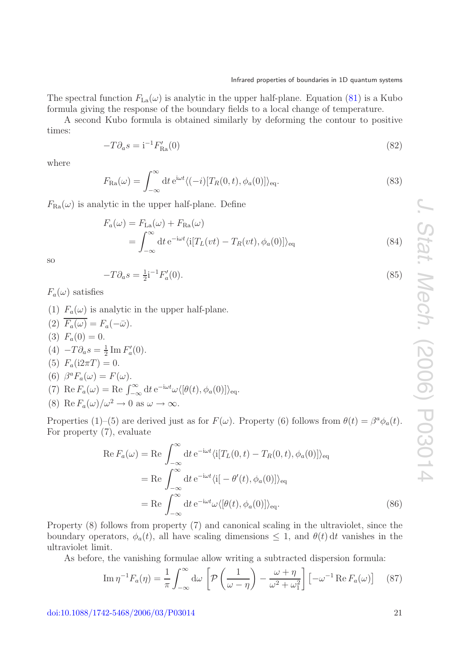The spectral function  $F_{\text{La}}(\omega)$  is analytic in the upper half-plane. Equation [\(81\)](#page-19-1) is a Kubo formula giving the response of the boundary fields to a local change of temperature.

A second Kubo formula is obtained similarly by deforming the contour to positive times:

$$
-T\partial_a s = \mathbf{i}^{-1} F'_{\text{Ra}}(0) \tag{82}
$$

where

$$
F_{\text{Ra}}(\omega) = \int_{-\infty}^{\infty} dt \, e^{i\omega t} \langle (-i)[T_R(0, t), \phi_a(0)] \rangle_{\text{eq}}.
$$
\n(83)

 $F_{\text{Ra}}(\omega)$  is analytic in the upper half-plane. Define

$$
F_a(\omega) = F_{\text{La}}(\omega) + F_{\text{Ra}}(\omega)
$$
  
= 
$$
\int_{-\infty}^{\infty} dt e^{-i\omega t} \langle i[T_L(vt) - T_R(vt), \phi_a(0)] \rangle_{\text{eq}}
$$
 (84)

so

$$
-T\partial_a s = \frac{1}{2}i^{-1}F'_a(0). \tag{85}
$$

 $F_a(\omega)$  satisfies

- (1)  $F_a(\omega)$  is analytic in the upper half-plane.
- (2)  $\overline{F_a(\omega)} = F_a(-\overline{\omega}).$ (3)  $F_a(0) = 0$ . (4)  $-T\partial_a s = \frac{1}{2} \text{Im} F'_a(0)$ . (5)  $F_a(i2\pi T) = 0.$ (6)  $\beta^a F_a(\omega) = F(\omega)$ . (7) Re  $F_a(\omega) = \text{Re} \int_{-\infty}^{\infty} dt \, e^{-i\omega t} \omega \langle [\theta(t), \phi_a(0)] \rangle_{\text{eq}}$ . (8) Re  $F_a(\omega)/\omega^2 \to 0$  as  $\omega \to \infty$ .

Properties (1)–(5) are derived just as for  $F(\omega)$ . Property (6) follows from  $\theta(t) = \beta^a \phi_a(t)$ . For property (7), evaluate

$$
\operatorname{Re} F_a(\omega) = \operatorname{Re} \int_{-\infty}^{\infty} dt \, e^{-i\omega t} \langle i[T_L(0, t) - T_R(0, t), \phi_a(0)] \rangle_{\text{eq}}
$$

$$
= \operatorname{Re} \int_{-\infty}^{\infty} dt \, e^{-i\omega t} \langle i[-\theta'(t), \phi_a(0)] \rangle_{\text{eq}}
$$

$$
= \operatorname{Re} \int_{-\infty}^{\infty} dt \, e^{-i\omega t} \omega \langle [\theta(t), \phi_a(0)] \rangle_{\text{eq}}.
$$
(86)

Property (8) follows from property (7) and canonical scaling in the ultraviolet, since the boundary operators,  $\phi_a(t)$ , all have scaling dimensions  $\leq 1$ , and  $\theta(t) dt$  vanishes in the ultraviolet limit.

As before, the vanishing formulae allow writing a subtracted dispersion formula:

$$
\operatorname{Im}\eta^{-1}F_a(\eta) = \frac{1}{\pi} \int_{-\infty}^{\infty} d\omega \left[ \mathcal{P}\left(\frac{1}{\omega - \eta}\right) - \frac{\omega + \eta}{\omega^2 + \omega_1^2} \right] \left[ -\omega^{-1} \operatorname{Re} F_a(\omega) \right] \tag{87}
$$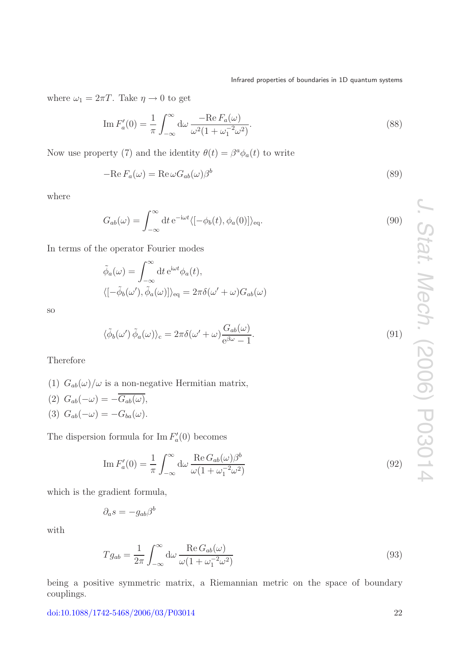where  $\omega_1 = 2\pi T$ . Take  $\eta \to 0$  to get

$$
\operatorname{Im} F_a'(0) = \frac{1}{\pi} \int_{-\infty}^{\infty} d\omega \, \frac{-\operatorname{Re} F_a(\omega)}{\omega^2 (1 + \omega_1^{-2} \omega^2)}.
$$
\n
$$
(88)
$$

Now use property (7) and the identity  $\theta(t) = \beta^a \phi_a(t)$  to write

$$
-\text{Re}\,F_a(\omega) = \text{Re}\,\omega G_{ab}(\omega)\beta^b\tag{89}
$$

where

$$
G_{ab}(\omega) = \int_{-\infty}^{\infty} dt \, e^{-i\omega t} \langle [-\phi_b(t), \phi_a(0)] \rangle_{\text{eq}}.
$$
\n(90)

In terms of the operator Fourier modes

$$
\tilde{\phi}_a(\omega) = \int_{-\infty}^{\infty} dt \, e^{i\omega t} \phi_a(t),
$$
\n
$$
\langle [-\tilde{\phi}_b(\omega'), \tilde{\phi}_a(\omega)] \rangle_{\text{eq}} = 2\pi \delta(\omega' + \omega) G_{ab}(\omega)
$$

<span id="page-21-0"></span>so

$$
\langle \tilde{\phi}_b(\omega') \tilde{\phi}_a(\omega) \rangle_c = 2\pi \delta(\omega' + \omega) \frac{G_{ab}(\omega)}{e^{\beta \omega} - 1}.
$$
\n(91)

Therefore

(1)  $G_{ab}(\omega)/\omega$  is a non-negative Hermitian matrix,

(2) 
$$
G_{ab}(-\omega) = -\overline{G_{ab}(\omega)}
$$
,  
(3)  $G_{ab}(-\omega) = -G_{ba}(\omega)$ .

The dispersion formula for  $\text{Im } F_a'(0)$  becomes

$$
\operatorname{Im} F_a'(0) = \frac{1}{\pi} \int_{-\infty}^{\infty} d\omega \, \frac{\operatorname{Re} G_{ab}(\omega) \beta^b}{\omega (1 + \omega_1^{-2} \omega^2)} \tag{92}
$$

which is the gradient formula,

$$
\partial_a s = -g_{ab}\beta^b
$$

<span id="page-21-1"></span>with

$$
Tg_{ab} = \frac{1}{2\pi} \int_{-\infty}^{\infty} d\omega \frac{\text{Re}\, G_{ab}(\omega)}{\omega (1 + \omega_1^{-2} \omega^2)}
$$
(93)

being a positive symmetric matrix, a Riemannian metric on the space of boundary couplings.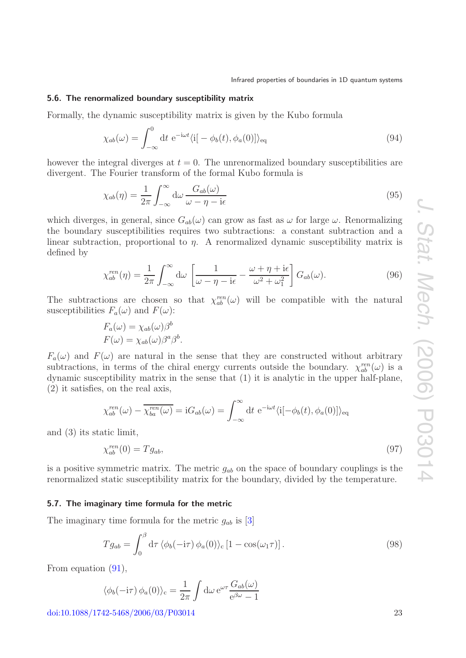#### <span id="page-22-0"></span>**5.6. The renormalized boundary susceptibility matrix**

Formally, the dynamic susceptibility matrix is given by the Kubo formula

$$
\chi_{ab}(\omega) = \int_{-\infty}^{0} dt \ e^{-i\omega t} \langle i[-\phi_b(t), \phi_a(0)] \rangle_{\text{eq}} \tag{94}
$$

however the integral diverges at  $t = 0$ . The unrenormalized boundary susceptibilities are divergent. The Fourier transform of the formal Kubo formula is

$$
\chi_{ab}(\eta) = \frac{1}{2\pi} \int_{-\infty}^{\infty} d\omega \, \frac{G_{ab}(\omega)}{\omega - \eta - i\epsilon} \tag{95}
$$

which diverges, in general, since  $G_{ab}(\omega)$  can grow as fast as  $\omega$  for large  $\omega$ . Renormalizing the boundary susceptibilities requires two subtractions: a constant subtraction and a linear subtraction, proportional to  $\eta$ . A renormalized dynamic susceptibility matrix is defined by

$$
\chi_{ab}^{ren}(\eta) = \frac{1}{2\pi} \int_{-\infty}^{\infty} d\omega \left[ \frac{1}{\omega - \eta - i\epsilon} - \frac{\omega + \eta + i\epsilon}{\omega^2 + \omega_1^2} \right] G_{ab}(\omega). \tag{96}
$$

The subtractions are chosen so that  $\chi_{ab}^{ren}(\omega)$  will be compatible with the natural susceptibilities  $F_a(\omega)$  and  $F(\omega)$ :

$$
F_a(\omega) = \chi_{ab}(\omega)\beta^b
$$
  

$$
F(\omega) = \chi_{ab}(\omega)\beta^a\beta^b.
$$

 $F_a(\omega)$  and  $F(\omega)$  are natural in the sense that they are constructed without arbitrary subtractions, in terms of the chiral energy currents outside the boundary.  $\chi_{ab}^{ren}(\omega)$  is a dynamic susceptibility matrix in the sense that (1) it is analytic in the upper half-plane, (2) it satisfies, on the real axis,

$$
\chi_{ab}^{ren}(\omega) - \overline{\chi_{ba}^{ren}(\omega)} = iG_{ab}(\omega) = \int_{-\infty}^{\infty} dt \ e^{-i\omega t} \langle i[-\phi_b(t), \phi_a(0)] \rangle_{\text{eq}}
$$

and (3) its static limit,

$$
\chi_{ab}^{ren}(0) = Tg_{ab},\tag{97}
$$

is a positive symmetric matrix. The metric  $g_{ab}$  on the space of boundary couplings is the renormalized static susceptibility matrix for the boundary, divided by the temperature.

#### <span id="page-22-1"></span>**5.7. The imaginary time formula for the metric**

The imaginary time formula for the metric  $g_{ab}$  is [\[3\]](#page-26-3)

$$
Tg_{ab} = \int_0^\beta d\tau \, \langle \phi_b(-i\tau) \, \phi_a(0) \rangle_c \left[ 1 - \cos(\omega_1 \tau) \right]. \tag{98}
$$

From equation [\(91\)](#page-21-0),

$$
\langle \phi_b(-i\tau) \phi_a(0) \rangle_c = \frac{1}{2\pi} \int d\omega \, e^{\omega \tau} \frac{G_{ab}(\omega)}{e^{\beta \omega} - 1}
$$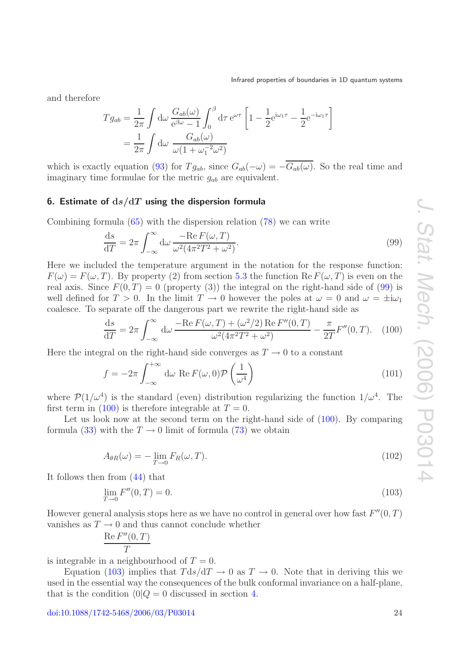and therefore

$$
Tg_{ab} = \frac{1}{2\pi} \int d\omega \frac{G_{ab}(\omega)}{e^{\beta \omega} - 1} \int_0^{\beta} d\tau e^{\omega \tau} \left[ 1 - \frac{1}{2} e^{i\omega_1 \tau} - \frac{1}{2} e^{-i\omega_1 \tau} \right]
$$
  
=  $\frac{1}{2\pi} \int d\omega \frac{G_{ab}(\omega)}{\omega (1 + \omega_1^{-2} \omega^2)}$ 

which is exactly equation [\(93\)](#page-21-1) for  $Tg_{ab}$ , since  $G_{ab}(-\omega) = -\overline{G_{ab}(\omega)}$ . So the real time and imaginary time formulae for the metric  $g_{ab}$  are equivalent.

## <span id="page-23-0"></span>**6. Estimate of d***s/***d***T* **using the dispersion formula**

Combining formula [\(65\)](#page-16-1) with the dispersion relation [\(78\)](#page-19-2) we can write

<span id="page-23-1"></span>
$$
\frac{\mathrm{d}s}{\mathrm{d}T} = 2\pi \int_{-\infty}^{\infty} \mathrm{d}\omega \, \frac{-\mathrm{Re}\, F(\omega, T)}{\omega^2 (4\pi^2 T^2 + \omega^2)}.\tag{99}
$$

Here we included the temperature argument in the notation for the response function:  $F(\omega) = F(\omega, T)$ . By property (2) from section [5.3](#page-16-0) the function Re  $F(\omega, T)$  is even on the real axis. Since  $F(0,T) = 0$  (property (3)) the integral on the right-hand side of [\(99\)](#page-23-1) is well defined for  $T > 0$ . In the limit  $T \to 0$  however the poles at  $\omega = 0$  and  $\omega = \pm i\omega_1$ coalesce. To separate off the dangerous part we rewrite the right-hand side as

<span id="page-23-2"></span>
$$
\frac{ds}{dT} = 2\pi \int_{-\infty}^{\infty} d\omega \frac{-\text{Re}\,F(\omega, T) + (\omega^2/2)\,\text{Re}\,F''(0, T)}{\omega^2(4\pi^2 T^2 + \omega^2)} - \frac{\pi}{2T}F''(0, T). \tag{100}
$$

Here the integral on the right-hand side converges as  $T \to 0$  to a constant

$$
f = -2\pi \int_{-\infty}^{+\infty} d\omega \text{ Re } F(\omega, 0) \mathcal{P}\left(\frac{1}{\omega^4}\right)
$$
 (101)

where  $\mathcal{P}(1/\omega^4)$  is the standard (even) distribution regularizing the function  $1/\omega^4$ . The first term in [\(100\)](#page-23-2) is therefore integrable at  $T = 0$ .

<span id="page-23-4"></span>Let us look now at the second term on the right-hand side of  $(100)$ . By comparing formula [\(33\)](#page-10-5) with the  $T \rightarrow 0$  limit of formula [\(73\)](#page-18-1) we obtain

$$
A_{\theta R}(\omega) = -\lim_{T \to 0} F_R(\omega, T). \tag{102}
$$

It follows then from [\(44\)](#page-11-5) that

<span id="page-23-3"></span>
$$
\lim_{T \to 0} F''(0, T) = 0. \tag{103}
$$

However general analysis stops here as we have no control in general over how fast  $F''(0,T)$ vanishes as  $T \to 0$  and thus cannot conclude whether

$$
\frac{\operatorname{Re} F''(0,T)}{T}
$$

is integrable in a neighbourhood of  $T = 0$ .

Equation [\(103\)](#page-23-3) implies that  $Tds/dT \rightarrow 0$  as  $T \rightarrow 0$ . Note that in deriving this we used in the essential way the consequences of the bulk conformal invariance on a half-plane, that is the condition  $\langle 0|Q = 0$  discussed in section [4.](#page-8-1)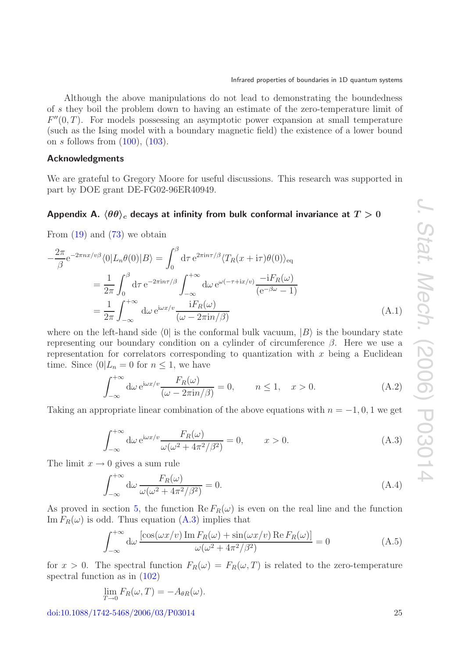Although the above manipulations do not lead to demonstrating the boundedness of s they boil the problem down to having an estimate of the zero-temperature limit of  $F''(0,T)$ . For models possessing an asymptotic power expansion at small temperature (such as the Ising model with a boundary magnetic field) the existence of a lower bound on s follows from  $(100)$ ,  $(103)$ .

## <span id="page-24-0"></span>**Acknowledgments**

We are grateful to Gregory Moore for useful discussions. This research was supported in part by DOE grant DE-FG02-96ER40949.

## <span id="page-24-1"></span> $\mathsf{Appendix\ A.}\ \langle\theta\theta\rangle_c$  decays at infinity from bulk conformal invariance at  $T>0$

From  $(19)$  and  $(73)$  we obtain

$$
-\frac{2\pi}{\beta}e^{-2\pi nx/v\beta}\langle 0|L_n\theta(0)|B\rangle = \int_0^\beta d\tau e^{2\pi i n\tau/\beta}\langle T_R(x+i\tau)\theta(0)\rangle_{\text{eq}}
$$
  

$$
=\frac{1}{2\pi}\int_0^\beta d\tau e^{-2\pi i n\tau/\beta}\int_{-\infty}^{+\infty} d\omega \, e^{\omega(-\tau+i x/v)}\frac{-iF_R(\omega)}{(e^{-\beta\omega}-1)}
$$
  

$$
=\frac{1}{2\pi}\int_{-\infty}^{+\infty} d\omega \, e^{i\omega x/v}\frac{iF_R(\omega)}{(\omega-2\pi i n/\beta)}
$$
(A.1)

where on the left-hand side  $\langle 0|$  is the conformal bulk vacuum,  $|B\rangle$  is the boundary state representing our boundary condition on a cylinder of circumference  $\beta$ . Here we use a representation for correlators corresponding to quantization with  $x$  being a Euclidean time. Since  $\langle 0|L_n = 0$  for  $n \leq 1$ , we have

$$
\int_{-\infty}^{+\infty} d\omega \, e^{i\omega x/v} \frac{F_R(\omega)}{(\omega - 2\pi i n/\beta)} = 0, \qquad n \le 1, \quad x > 0.
$$
 (A.2)

<span id="page-24-2"></span>Taking an appropriate linear combination of the above equations with  $n = -1, 0, 1$  we get

$$
\int_{-\infty}^{+\infty} d\omega \, e^{i\omega x/v} \frac{F_R(\omega)}{\omega(\omega^2 + 4\pi^2/\beta^2)} = 0, \qquad x > 0. \tag{A.3}
$$

The limit  $x \to 0$  gives a sum rule

<span id="page-24-4"></span>
$$
\int_{-\infty}^{+\infty} d\omega \, \frac{F_R(\omega)}{\omega(\omega^2 + 4\pi^2/\beta^2)} = 0. \tag{A.4}
$$

As proved in section [5,](#page-12-0) the function  $\text{Re}\,F_R(\omega)$  is even on the real line and the function Im  $F_R(\omega)$  is odd. Thus equation [\(A.3\)](#page-24-2) implies that

<span id="page-24-3"></span>
$$
\int_{-\infty}^{+\infty} d\omega \, \frac{\left[\cos(\omega x/v) \operatorname{Im} F_R(\omega) + \sin(\omega x/v) \operatorname{Re} F_R(\omega)\right]}{\omega(\omega^2 + 4\pi^2/\beta^2)} = 0 \tag{A.5}
$$

for  $x > 0$ . The spectral function  $F_R(\omega) = F_R(\omega, T)$  is related to the zero-temperature spectral function as in [\(102\)](#page-23-4)

$$
\lim_{T \to 0} F_R(\omega, T) = -A_{\theta R}(\omega).
$$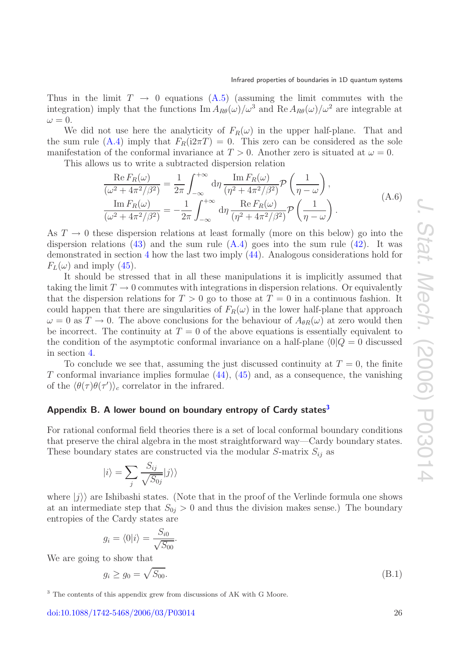Thus in the limit  $T \rightarrow 0$  equations  $(A.5)$  (assuming the limit commutes with the integration) imply that the functions  $\text{Im} A_{R\theta}(\omega)/\omega^3$  and  $\text{Re} A_{R\theta}(\omega)/\omega^2$  are integrable at  $\omega = 0.$ 

We did not use here the analyticity of  $F_R(\omega)$  in the upper half-plane. That and the sum rule [\(A.4\)](#page-24-4) imply that  $F_R(i2\pi T) = 0$ . This zero can be considered as the sole manifestation of the conformal invariance at  $T > 0$ . Another zero is situated at  $\omega = 0$ .

This allows us to write a subtracted dispersion relation

$$
\frac{\operatorname{Re} F_R(\omega)}{(\omega^2 + 4\pi^2/\beta^2)} = \frac{1}{2\pi} \int_{-\infty}^{+\infty} d\eta \, \frac{\operatorname{Im} F_R(\omega)}{(\eta^2 + 4\pi^2/\beta^2)} \mathcal{P}\left(\frac{1}{\eta - \omega}\right),
$$
\n
$$
\frac{\operatorname{Im} F_R(\omega)}{(\omega^2 + 4\pi^2/\beta^2)} = -\frac{1}{2\pi} \int_{-\infty}^{+\infty} d\eta \, \frac{\operatorname{Re} F_R(\omega)}{(\eta^2 + 4\pi^2/\beta^2)} \mathcal{P}\left(\frac{1}{\eta - \omega}\right).
$$
\n(A.6)

As  $T \to 0$  these dispersion relations at least formally (more on this below) go into the dispersion relations [\(43\)](#page-11-2) and the sum rule  $(A.4)$  goes into the sum rule [\(42\)](#page-11-3). It was demonstrated in section [4](#page-8-1) how the last two imply [\(44\)](#page-11-5). Analogous considerations hold for  $F_L(\omega)$  and imply [\(45\)](#page-11-6).

It should be stressed that in all these manipulations it is implicitly assumed that taking the limit  $T \to 0$  commutes with integrations in dispersion relations. Or equivalently that the dispersion relations for  $T > 0$  go to those at  $T = 0$  in a continuous fashion. It could happen that there are singularities of  $F_R(\omega)$  in the lower half-plane that approach  $\omega = 0$  as  $T \to 0$ . The above conclusions for the behaviour of  $A_{\theta R}(\omega)$  at zero would then be incorrect. The continuity at  $T = 0$  of the above equations is essentially equivalent to the condition of the asymptotic conformal invariance on a half-plane  $\langle 0|Q = 0$  discussed in section [4.](#page-8-1)

To conclude we see that, assuming the just discussed continuity at  $T = 0$ , the finite T conformal invariance implies formulae  $(44)$ ,  $(45)$  and, as a consequence, the vanishing of the  $\langle \theta(\tau) \theta(\tau') \rangle_c$  correlator in the infrared.

## <span id="page-25-0"></span>**Appendix B. A lower bound on boundary entropy of Cardy state[s3](#page-25-1)**

For rational conformal field theories there is a set of local conformal boundary conditions that preserve the chiral algebra in the most straightforward way—Cardy boundary states. These boundary states are constructed via the modular S-matrix  $S_{ij}$  as

$$
|i\rangle = \sum_{j} \frac{S_{ij}}{\sqrt{S_{0j}}} |j\rangle\rangle
$$

where  $|j\rangle$  are Ishibashi states. (Note that in the proof of the Verlinde formula one shows at an intermediate step that  $S_{0j} > 0$  and thus the division makes sense.) The boundary entropies of the Cardy states are

$$
g_i = \langle 0 | i \rangle = \frac{S_{i0}}{\sqrt{S_{00}}}.
$$

We are going to show that

<span id="page-25-2"></span>
$$
g_i \ge g_0 = \sqrt{S_{00}}.\tag{B.1}
$$

<span id="page-25-1"></span><sup>3</sup> The contents of this appendix grew from discussions of AK with G Moore.